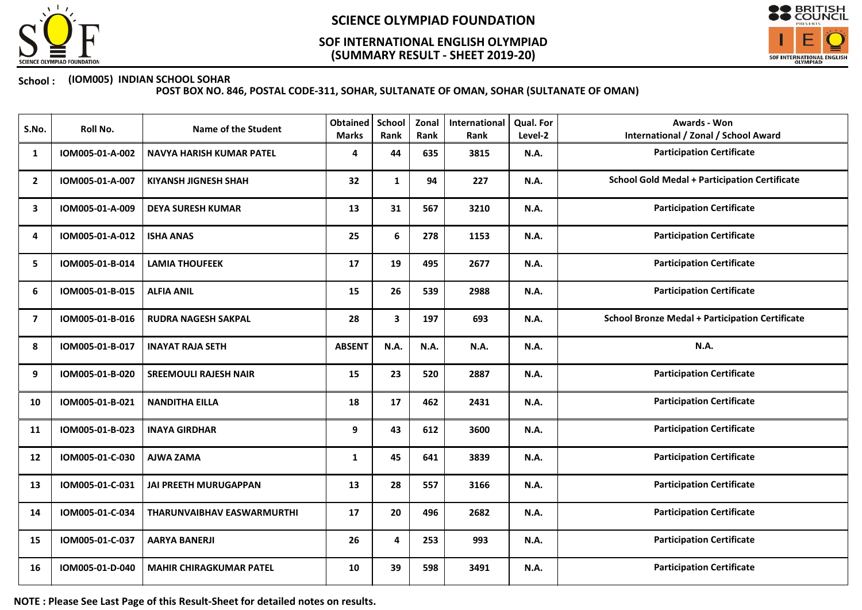

## (SUMMARY RESULT - SHEET 2019-20) SOF INTERNATIONAL ENGLISH OLYMPIAD



### School : (IOM005) INDIAN SCHOOL SOHAR

POST BOX NO. 846, POSTAL CODE-311, SOHAR, SULTANATE OF OMAN, SOHAR (SULTANATE OF OMAN)

| S.No.          | Roll No.        | <b>Name of the Student</b>        | <b>Obtained</b><br><b>Marks</b> | School<br>Rank | Zonal<br>Rank | International<br>Rank | <b>Qual. For</b><br>Level-2 | Awards - Won<br><b>International / Zonal / School Award</b> |
|----------------|-----------------|-----------------------------------|---------------------------------|----------------|---------------|-----------------------|-----------------------------|-------------------------------------------------------------|
| 1              | IOM005-01-A-002 | NAVYA HARISH KUMAR PATEL          | 4                               | 44             | 635           | 3815                  | <b>N.A.</b>                 | <b>Participation Certificate</b>                            |
| $\overline{2}$ | IOM005-01-A-007 | <b>KIYANSH JIGNESH SHAH</b>       | 32                              | $\mathbf{1}$   | 94            | 227                   | <b>N.A.</b>                 | <b>School Gold Medal + Participation Certificate</b>        |
| 3              | IOM005-01-A-009 | <b>DEYA SURESH KUMAR</b>          | 13                              | 31             | 567           | 3210                  | <b>N.A.</b>                 | <b>Participation Certificate</b>                            |
| 4              | IOM005-01-A-012 | <b>ISHA ANAS</b>                  | 25                              | 6              | 278           | 1153                  | <b>N.A.</b>                 | <b>Participation Certificate</b>                            |
| 5              | IOM005-01-B-014 | <b>LAMIA THOUFEEK</b>             | 17                              | 19             | 495           | 2677                  | <b>N.A.</b>                 | <b>Participation Certificate</b>                            |
| 6              | IOM005-01-B-015 | <b>ALFIA ANIL</b>                 | 15                              | 26             | 539           | 2988                  | <b>N.A.</b>                 | <b>Participation Certificate</b>                            |
| $\overline{7}$ | IOM005-01-B-016 | <b>RUDRA NAGESH SAKPAL</b>        | 28                              | $\mathbf{3}$   | 197           | 693                   | <b>N.A.</b>                 | <b>School Bronze Medal + Participation Certificate</b>      |
| 8              | IOM005-01-B-017 | <b>INAYAT RAJA SETH</b>           | <b>ABSENT</b>                   | <b>N.A.</b>    | N.A.          | N.A.                  | <b>N.A.</b>                 | <b>N.A.</b>                                                 |
| 9              | IOM005-01-B-020 | <b>SREEMOULI RAJESH NAIR</b>      | 15                              | 23             | 520           | 2887                  | <b>N.A.</b>                 | <b>Participation Certificate</b>                            |
| 10             | IOM005-01-B-021 | <b>NANDITHA EILLA</b>             | 18                              | 17             | 462           | 2431                  | <b>N.A.</b>                 | <b>Participation Certificate</b>                            |
| 11             | IOM005-01-B-023 | <b>INAYA GIRDHAR</b>              | 9                               | 43             | 612           | 3600                  | <b>N.A.</b>                 | <b>Participation Certificate</b>                            |
| 12             | IOM005-01-C-030 | <b>AJWA ZAMA</b>                  | 1                               | 45             | 641           | 3839                  | <b>N.A.</b>                 | <b>Participation Certificate</b>                            |
| 13             | IOM005-01-C-031 | <b>JAI PREETH MURUGAPPAN</b>      | 13                              | 28             | 557           | 3166                  | <b>N.A.</b>                 | <b>Participation Certificate</b>                            |
| 14             | IOM005-01-C-034 | <b>THARUNVAIBHAV EASWARMURTHI</b> | 17                              | 20             | 496           | 2682                  | <b>N.A.</b>                 | <b>Participation Certificate</b>                            |
| 15             | IOM005-01-C-037 | <b>AARYA BANERJI</b>              | 26                              | 4              | 253           | 993                   | N.A.                        | <b>Participation Certificate</b>                            |
| 16             | IOM005-01-D-040 | <b>MAHIR CHIRAGKUMAR PATEL</b>    | 10                              | 39             | 598           | 3491                  | <b>N.A.</b>                 | <b>Participation Certificate</b>                            |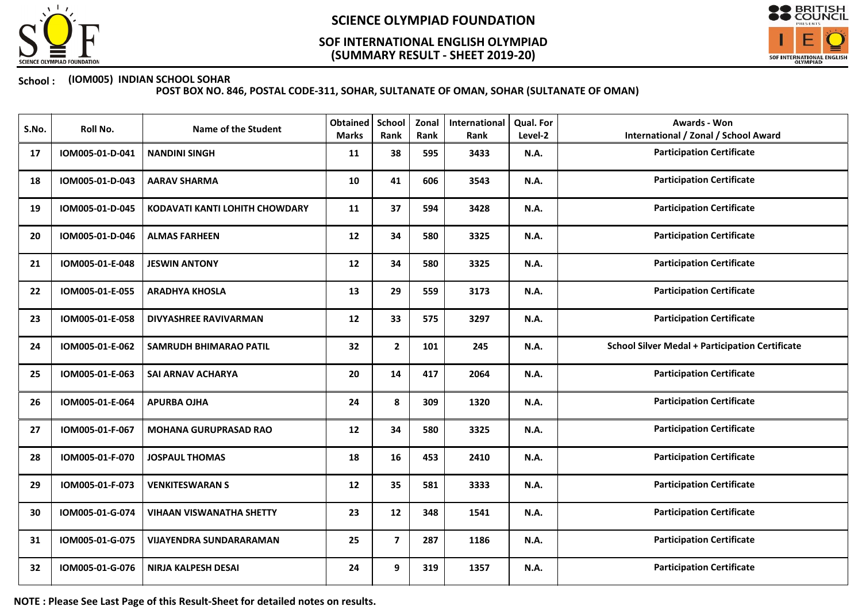

## (SUMMARY RESULT - SHEET 2019-20) SOF INTERNATIONAL ENGLISH OLYMPIAD



### School : (IOM005) INDIAN SCHOOL SOHAR

POST BOX NO. 846, POSTAL CODE-311, SOHAR, SULTANATE OF OMAN, SOHAR (SULTANATE OF OMAN)

| S.No. | Roll No.        | <b>Name of the Student</b>      | Obtained<br><b>Marks</b> | <b>School</b><br>Rank | Zonal<br>Rank | International<br>Rank | Qual. For<br>Level-2 | <b>Awards - Won</b><br><b>International / Zonal / School Award</b> |
|-------|-----------------|---------------------------------|--------------------------|-----------------------|---------------|-----------------------|----------------------|--------------------------------------------------------------------|
| 17    | IOM005-01-D-041 | <b>NANDINI SINGH</b>            | 11                       | 38                    | 595           | 3433                  | <b>N.A.</b>          | <b>Participation Certificate</b>                                   |
| 18    | IOM005-01-D-043 | <b>AARAV SHARMA</b>             | 10                       | 41                    | 606           | 3543                  | <b>N.A.</b>          | <b>Participation Certificate</b>                                   |
| 19    | IOM005-01-D-045 | KODAVATI KANTI LOHITH CHOWDARY  | 11                       | 37                    | 594           | 3428                  | <b>N.A.</b>          | <b>Participation Certificate</b>                                   |
| 20    | IOM005-01-D-046 | <b>ALMAS FARHEEN</b>            | 12                       | 34                    | 580           | 3325                  | N.A.                 | <b>Participation Certificate</b>                                   |
| 21    | IOM005-01-E-048 | <b>JESWIN ANTONY</b>            | 12                       | 34                    | 580           | 3325                  | <b>N.A.</b>          | <b>Participation Certificate</b>                                   |
| 22    | IOM005-01-E-055 | <b>ARADHYA KHOSLA</b>           | 13                       | 29                    | 559           | 3173                  | N.A.                 | <b>Participation Certificate</b>                                   |
| 23    | IOM005-01-E-058 | <b>DIVYASHREE RAVIVARMAN</b>    | 12                       | 33                    | 575           | 3297                  | N.A.                 | <b>Participation Certificate</b>                                   |
| 24    | IOM005-01-E-062 | <b>SAMRUDH BHIMARAO PATIL</b>   | 32                       | $\mathbf{2}$          | 101           | 245                   | N.A.                 | <b>School Silver Medal + Participation Certificate</b>             |
| 25    | IOM005-01-E-063 | SAI ARNAV ACHARYA               | 20                       | 14                    | 417           | 2064                  | N.A.                 | <b>Participation Certificate</b>                                   |
| 26    | IOM005-01-E-064 | <b>APURBA OJHA</b>              | 24                       | 8                     | 309           | 1320                  | N.A.                 | <b>Participation Certificate</b>                                   |
| 27    | IOM005-01-F-067 | <b>MOHANA GURUPRASAD RAO</b>    | 12                       | 34                    | 580           | 3325                  | N.A.                 | <b>Participation Certificate</b>                                   |
| 28    | IOM005-01-F-070 | <b>JOSPAUL THOMAS</b>           | 18                       | 16                    | 453           | 2410                  | <b>N.A.</b>          | <b>Participation Certificate</b>                                   |
| 29    | IOM005-01-F-073 | <b>VENKITESWARAN S</b>          | 12                       | 35                    | 581           | 3333                  | <b>N.A.</b>          | <b>Participation Certificate</b>                                   |
| 30    | IOM005-01-G-074 | <b>VIHAAN VISWANATHA SHETTY</b> | 23                       | 12                    | 348           | 1541                  | N.A.                 | <b>Participation Certificate</b>                                   |
| 31    | IOM005-01-G-075 | VIJAYENDRA SUNDARARAMAN         | 25                       | $\overline{7}$        | 287           | 1186                  | <b>N.A.</b>          | <b>Participation Certificate</b>                                   |
| 32    | IOM005-01-G-076 | NIRJA KALPESH DESAI             | 24                       | 9                     | 319           | 1357                  | N.A.                 | <b>Participation Certificate</b>                                   |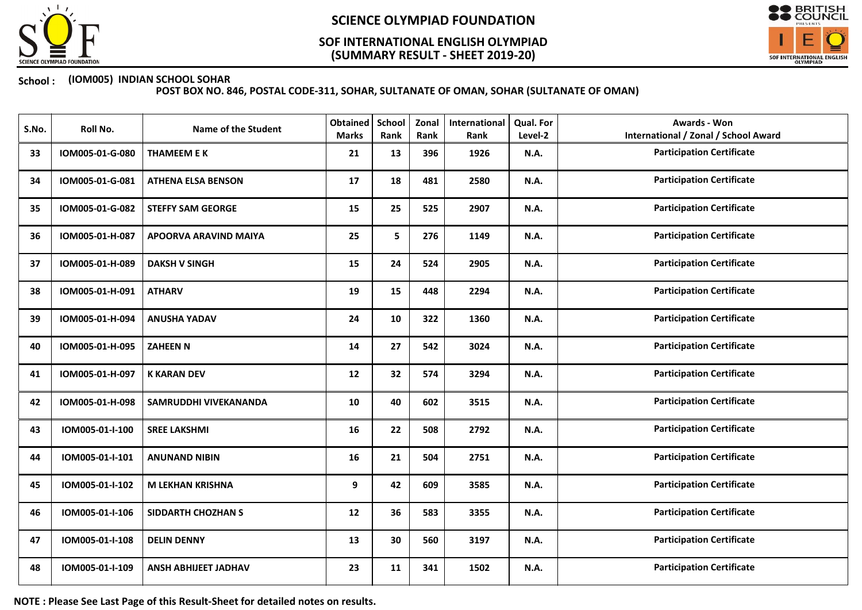

## (SUMMARY RESULT - SHEET 2019-20) SOF INTERNATIONAL ENGLISH OLYMPIAD



### School : (IOM005) INDIAN SCHOOL SOHAR

POST BOX NO. 846, POSTAL CODE-311, SOHAR, SULTANATE OF OMAN, SOHAR (SULTANATE OF OMAN)

| S.No. | Roll No.        | <b>Name of the Student</b>  | Obtained<br><b>Marks</b> | <b>School</b><br>Rank | Zonal<br>Rank | International<br>Rank | Qual. For<br>Level-2 | <b>Awards - Won</b><br><b>International / Zonal / School Award</b> |
|-------|-----------------|-----------------------------|--------------------------|-----------------------|---------------|-----------------------|----------------------|--------------------------------------------------------------------|
| 33    | IOM005-01-G-080 | <b>THAMEEM E K</b>          | 21                       | 13                    | 396           | 1926                  | <b>N.A.</b>          | <b>Participation Certificate</b>                                   |
| 34    | IOM005-01-G-081 | <b>ATHENA ELSA BENSON</b>   | 17                       | 18                    | 481           | 2580                  | <b>N.A.</b>          | <b>Participation Certificate</b>                                   |
| 35    | IOM005-01-G-082 | <b>STEFFY SAM GEORGE</b>    | 15                       | 25                    | 525           | 2907                  | N.A.                 | <b>Participation Certificate</b>                                   |
| 36    | IOM005-01-H-087 | APOORVA ARAVIND MAIYA       | 25                       | 5                     | 276           | 1149                  | N.A.                 | <b>Participation Certificate</b>                                   |
| 37    | IOM005-01-H-089 | <b>DAKSH V SINGH</b>        | 15                       | 24                    | 524           | 2905                  | <b>N.A.</b>          | <b>Participation Certificate</b>                                   |
| 38    | IOM005-01-H-091 | <b>ATHARV</b>               | 19                       | 15                    | 448           | 2294                  | N.A.                 | <b>Participation Certificate</b>                                   |
| 39    | IOM005-01-H-094 | <b>ANUSHA YADAV</b>         | 24                       | 10                    | 322           | 1360                  | <b>N.A.</b>          | <b>Participation Certificate</b>                                   |
| 40    | IOM005-01-H-095 | <b>ZAHEEN N</b>             | 14                       | 27                    | 542           | 3024                  | N.A.                 | <b>Participation Certificate</b>                                   |
| 41    | IOM005-01-H-097 | <b>K KARAN DEV</b>          | 12                       | 32                    | 574           | 3294                  | N.A.                 | <b>Participation Certificate</b>                                   |
| 42    | IOM005-01-H-098 | SAMRUDDHI VIVEKANANDA       | 10                       | 40                    | 602           | 3515                  | <b>N.A.</b>          | <b>Participation Certificate</b>                                   |
| 43    | IOM005-01-I-100 | <b>SREE LAKSHMI</b>         | 16                       | 22                    | 508           | 2792                  | N.A.                 | <b>Participation Certificate</b>                                   |
| 44    | IOM005-01-I-101 | <b>ANUNAND NIBIN</b>        | 16                       | 21                    | 504           | 2751                  | N.A.                 | <b>Participation Certificate</b>                                   |
| 45    | IOM005-01-I-102 | <b>M LEKHAN KRISHNA</b>     | 9                        | 42                    | 609           | 3585                  | <b>N.A.</b>          | <b>Participation Certificate</b>                                   |
| 46    | IOM005-01-I-106 | <b>SIDDARTH CHOZHAN S</b>   | 12                       | 36                    | 583           | 3355                  | N.A.                 | <b>Participation Certificate</b>                                   |
| 47    | IOM005-01-I-108 | <b>DELIN DENNY</b>          | 13                       | 30                    | 560           | 3197                  | N.A.                 | <b>Participation Certificate</b>                                   |
| 48    | IOM005-01-I-109 | <b>ANSH ABHIJEET JADHAV</b> | 23                       | 11                    | 341           | 1502                  | <b>N.A.</b>          | <b>Participation Certificate</b>                                   |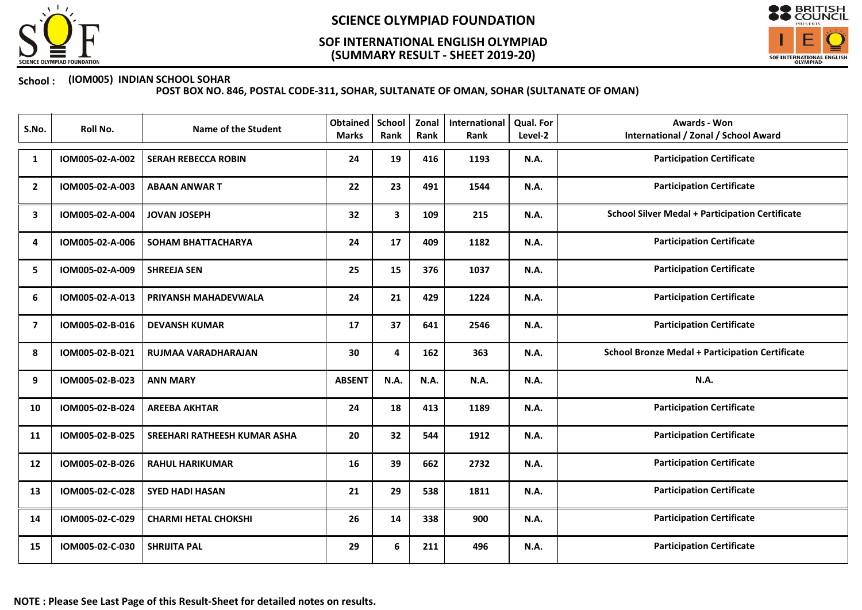

## (SUMMARY RESULT - SHEET 2019-20) SOF INTERNATIONAL ENGLISH OLYMPIAD



### School : (IOM005) INDIAN SCHOOL SOHAR

| S.No.          | Roll No.        | <b>Name of the Student</b>   | Obtained<br><b>Marks</b> | School<br>Rank | Zonal<br>Rank | International<br>Rank | Qual. For<br>Level-2 | <b>Awards - Won</b><br><b>International / Zonal / School Award</b> |
|----------------|-----------------|------------------------------|--------------------------|----------------|---------------|-----------------------|----------------------|--------------------------------------------------------------------|
| 1              | IOM005-02-A-002 | <b>SERAH REBECCA ROBIN</b>   | 24                       | 19             | 416           | 1193                  | N.A.                 | <b>Participation Certificate</b>                                   |
| $\mathbf{2}$   | IOM005-02-A-003 | <b>ABAAN ANWART</b>          | 22                       | 23             | 491           | 1544                  | N.A.                 | <b>Participation Certificate</b>                                   |
| 3              | IOM005-02-A-004 | <b>JOVAN JOSEPH</b>          | 32                       | 3              | 109           | 215                   | N.A.                 | <b>School Silver Medal + Participation Certificate</b>             |
| 4              | IOM005-02-A-006 | <b>SOHAM BHATTACHARYA</b>    | 24                       | 17             | 409           | 1182                  | N.A.                 | <b>Participation Certificate</b>                                   |
| 5              | IOM005-02-A-009 | <b>SHREEJA SEN</b>           | 25                       | 15             | 376           | 1037                  | N.A.                 | <b>Participation Certificate</b>                                   |
| 6              | IOM005-02-A-013 | PRIYANSH MAHADEVWALA         | 24                       | 21             | 429           | 1224                  | N.A.                 | <b>Participation Certificate</b>                                   |
| $\overline{7}$ | IOM005-02-B-016 | <b>DEVANSH KUMAR</b>         | 17                       | 37             | 641           | 2546                  | N.A.                 | <b>Participation Certificate</b>                                   |
| 8              | IOM005-02-B-021 | RUJMAA VARADHARAJAN          | 30                       | 4              | 162           | 363                   | N.A.                 | <b>School Bronze Medal + Participation Certificate</b>             |
| 9              | IOM005-02-B-023 | <b>ANN MARY</b>              | <b>ABSENT</b>            | N.A.           | N.A.          | N.A.                  | N.A.                 | N.A.                                                               |
| 10             | IOM005-02-B-024 | <b>AREEBA AKHTAR</b>         | 24                       | 18             | 413           | 1189                  | N.A.                 | <b>Participation Certificate</b>                                   |
| 11             | IOM005-02-B-025 | SREEHARI RATHEESH KUMAR ASHA | 20                       | 32             | 544           | 1912                  | N.A.                 | <b>Participation Certificate</b>                                   |
| 12             | IOM005-02-B-026 | <b>RAHUL HARIKUMAR</b>       | 16                       | 39             | 662           | 2732                  | N.A.                 | <b>Participation Certificate</b>                                   |
| 13             | IOM005-02-C-028 | <b>SYED HADI HASAN</b>       | 21                       | 29             | 538           | 1811                  | N.A.                 | <b>Participation Certificate</b>                                   |
| 14             | IOM005-02-C-029 | <b>CHARMI HETAL CHOKSHI</b>  | 26                       | 14             | 338           | 900                   | N.A.                 | <b>Participation Certificate</b>                                   |
| 15             | IOM005-02-C-030 | <b>SHRIJITA PAL</b>          | 29                       | 6              | 211           | 496                   | N.A.                 | <b>Participation Certificate</b>                                   |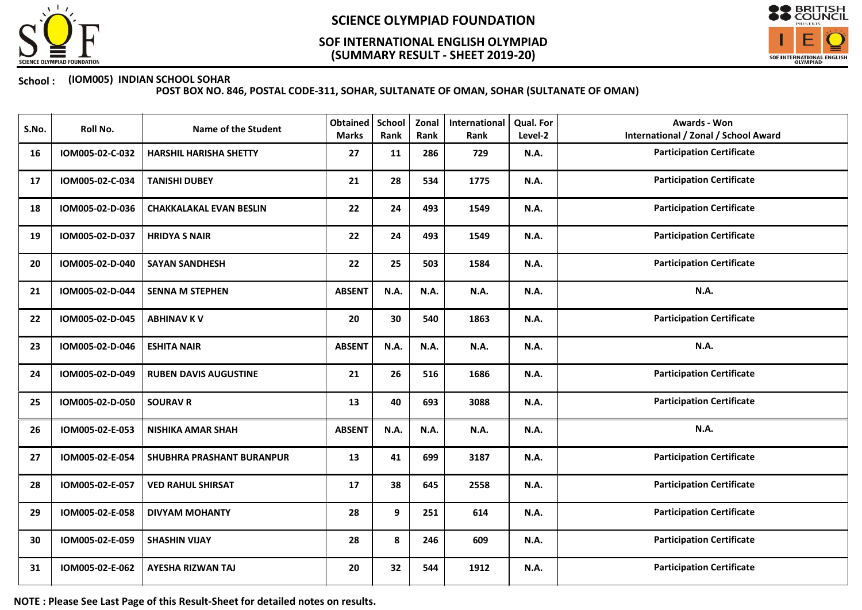

## (SUMMARY RESULT - SHEET 2019-20) SOF INTERNATIONAL ENGLISH OLYMPIAD



### School : (IOM005) INDIAN SCHOOL SOHAR

POST BOX NO. 846, POSTAL CODE-311, SOHAR, SULTANATE OF OMAN, SOHAR (SULTANATE OF OMAN)

| S.No. | Roll No.        | <b>Name of the Student</b>     | Obtained<br><b>Marks</b> | <b>School</b><br>Rank | Zonal<br>Rank | International<br>Rank | Qual. For<br>Level-2 | <b>Awards - Won</b><br><b>International / Zonal / School Award</b> |
|-------|-----------------|--------------------------------|--------------------------|-----------------------|---------------|-----------------------|----------------------|--------------------------------------------------------------------|
| 16    | IOM005-02-C-032 | <b>HARSHIL HARISHA SHETTY</b>  | 27                       | 11                    | 286           | 729                   | <b>N.A.</b>          | <b>Participation Certificate</b>                                   |
| 17    | IOM005-02-C-034 | <b>TANISHI DUBEY</b>           | 21                       | 28                    | 534           | 1775                  | <b>N.A.</b>          | <b>Participation Certificate</b>                                   |
| 18    | IOM005-02-D-036 | <b>CHAKKALAKAL EVAN BESLIN</b> | 22                       | 24                    | 493           | 1549                  | N.A.                 | <b>Participation Certificate</b>                                   |
| 19    | IOM005-02-D-037 | <b>HRIDYA S NAIR</b>           | 22                       | 24                    | 493           | 1549                  | N.A.                 | <b>Participation Certificate</b>                                   |
| 20    | IOM005-02-D-040 | <b>SAYAN SANDHESH</b>          | 22                       | 25                    | 503           | 1584                  | <b>N.A.</b>          | <b>Participation Certificate</b>                                   |
| 21    | IOM005-02-D-044 | <b>SENNA M STEPHEN</b>         | <b>ABSENT</b>            | N.A.                  | N.A.          | N.A.                  | <b>N.A.</b>          | N.A.                                                               |
| 22    | IOM005-02-D-045 | <b>ABHINAV KV</b>              | 20                       | 30                    | 540           | 1863                  | N.A.                 | <b>Participation Certificate</b>                                   |
| 23    | IOM005-02-D-046 | <b>ESHITA NAIR</b>             | <b>ABSENT</b>            | N.A.                  | N.A.          | N.A.                  | N.A.                 | N.A.                                                               |
| 24    | IOM005-02-D-049 | <b>RUBEN DAVIS AUGUSTINE</b>   | 21                       | 26                    | 516           | 1686                  | <b>N.A.</b>          | <b>Participation Certificate</b>                                   |
| 25    | IOM005-02-D-050 | <b>SOURAV R</b>                | 13                       | 40                    | 693           | 3088                  | N.A.                 | <b>Participation Certificate</b>                                   |
| 26    | IOM005-02-E-053 | <b>NISHIKA AMAR SHAH</b>       | <b>ABSENT</b>            | N.A.                  | N.A.          | N.A.                  | N.A.                 | N.A.                                                               |
| 27    | IOM005-02-E-054 | SHUBHRA PRASHANT BURANPUR      | 13                       | 41                    | 699           | 3187                  | <b>N.A.</b>          | <b>Participation Certificate</b>                                   |
| 28    | IOM005-02-E-057 | <b>VED RAHUL SHIRSAT</b>       | 17                       | 38                    | 645           | 2558                  | <b>N.A.</b>          | <b>Participation Certificate</b>                                   |
| 29    | IOM005-02-E-058 | <b>DIVYAM MOHANTY</b>          | 28                       | 9                     | 251           | 614                   | N.A.                 | <b>Participation Certificate</b>                                   |
| 30    | IOM005-02-E-059 | <b>SHASHIN VIJAY</b>           | 28                       | 8                     | 246           | 609                   | <b>N.A.</b>          | <b>Participation Certificate</b>                                   |
| 31    | IOM005-02-E-062 | <b>AYESHA RIZWAN TAJ</b>       | 20                       | 32                    | 544           | 1912                  | <b>N.A.</b>          | <b>Participation Certificate</b>                                   |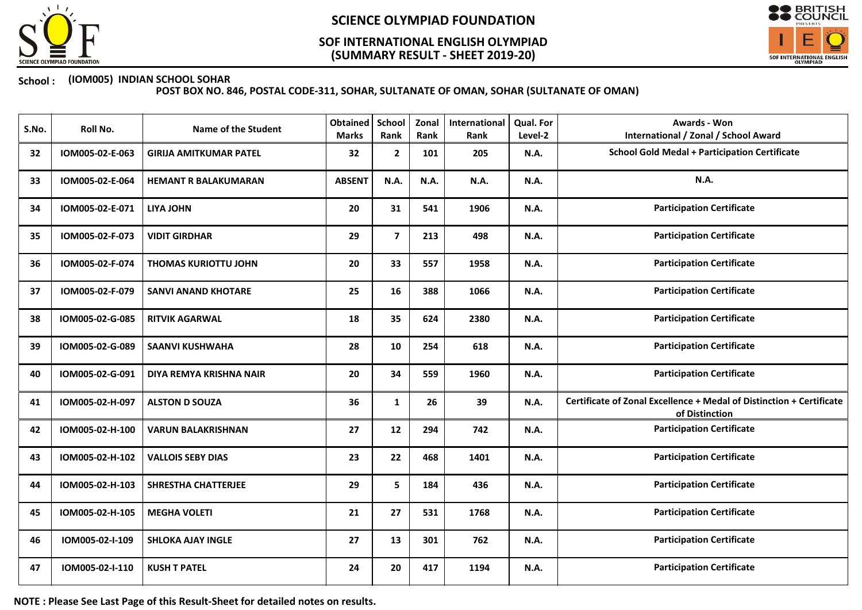

## (SUMMARY RESULT - SHEET 2019-20) SOF INTERNATIONAL ENGLISH OLYMPIAD



### School : (IOM005) INDIAN SCHOOL SOHAR

POST BOX NO. 846, POSTAL CODE-311, SOHAR, SULTANATE OF OMAN, SOHAR (SULTANATE OF OMAN)

| S.No. | Roll No.        | <b>Name of the Student</b>    | <b>Obtained</b><br><b>Marks</b> | School<br>Rank | Zonal<br>Rank | International<br>Rank | <b>Qual. For</b><br>Level-2 | <b>Awards - Won</b><br><b>International / Zonal / School Award</b>                     |
|-------|-----------------|-------------------------------|---------------------------------|----------------|---------------|-----------------------|-----------------------------|----------------------------------------------------------------------------------------|
| 32    | IOM005-02-E-063 | <b>GIRIJA AMITKUMAR PATEL</b> | 32                              | $\mathbf{2}$   | 101           | 205                   | <b>N.A.</b>                 | <b>School Gold Medal + Participation Certificate</b>                                   |
| 33    | IOM005-02-E-064 | <b>HEMANT R BALAKUMARAN</b>   | <b>ABSENT</b>                   | N.A.           | <b>N.A.</b>   | N.A.                  | <b>N.A.</b>                 | N.A.                                                                                   |
| 34    | IOM005-02-E-071 | <b>LIYA JOHN</b>              | 20                              | 31             | 541           | 1906                  | <b>N.A.</b>                 | <b>Participation Certificate</b>                                                       |
| 35    | IOM005-02-F-073 | <b>VIDIT GIRDHAR</b>          | 29                              | $\overline{7}$ | 213           | 498                   | <b>N.A.</b>                 | <b>Participation Certificate</b>                                                       |
| 36    | IOM005-02-F-074 | <b>THOMAS KURIOTTU JOHN</b>   | 20                              | 33             | 557           | 1958                  | <b>N.A.</b>                 | <b>Participation Certificate</b>                                                       |
| 37    | IOM005-02-F-079 | <b>SANVI ANAND KHOTARE</b>    | 25                              | 16             | 388           | 1066                  | <b>N.A.</b>                 | <b>Participation Certificate</b>                                                       |
| 38    | IOM005-02-G-085 | <b>RITVIK AGARWAL</b>         | 18                              | 35             | 624           | 2380                  | <b>N.A.</b>                 | <b>Participation Certificate</b>                                                       |
| 39    | IOM005-02-G-089 | <b>SAANVI KUSHWAHA</b>        | 28                              | 10             | 254           | 618                   | N.A.                        | <b>Participation Certificate</b>                                                       |
| 40    | IOM005-02-G-091 | DIYA REMYA KRISHNA NAIR       | 20                              | 34             | 559           | 1960                  | <b>N.A.</b>                 | <b>Participation Certificate</b>                                                       |
| 41    | IOM005-02-H-097 | <b>ALSTON D SOUZA</b>         | 36                              | $\mathbf{1}$   | 26            | 39                    | N.A.                        | Certificate of Zonal Excellence + Medal of Distinction + Certificate<br>of Distinction |
| 42    | IOM005-02-H-100 | <b>VARUN BALAKRISHNAN</b>     | 27                              | 12             | 294           | 742                   | N.A.                        | <b>Participation Certificate</b>                                                       |
| 43    | IOM005-02-H-102 | <b>VALLOIS SEBY DIAS</b>      | 23                              | 22             | 468           | 1401                  | <b>N.A.</b>                 | <b>Participation Certificate</b>                                                       |
| 44    | IOM005-02-H-103 | <b>SHRESTHA CHATTERJEE</b>    | 29                              | 5              | 184           | 436                   | N.A.                        | <b>Participation Certificate</b>                                                       |
| 45    | IOM005-02-H-105 | <b>MEGHA VOLETI</b>           | 21                              | 27             | 531           | 1768                  | <b>N.A.</b>                 | <b>Participation Certificate</b>                                                       |
| 46    | IOM005-02-I-109 | <b>SHLOKA AJAY INGLE</b>      | 27                              | 13             | 301           | 762                   | <b>N.A.</b>                 | <b>Participation Certificate</b>                                                       |
| 47    | IOM005-02-I-110 | <b>KUSH T PATEL</b>           | 24                              | 20             | 417           | 1194                  | <b>N.A.</b>                 | <b>Participation Certificate</b>                                                       |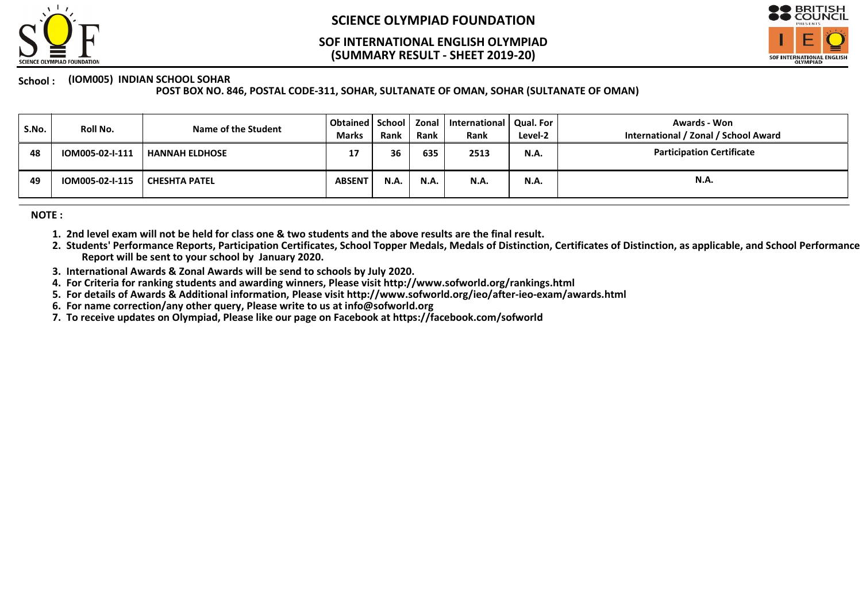

### (SUMMARY RESULT - SHEET 2019-20) SOF INTERNATIONAL ENGLISH OLYMPIAD



#### School : (IOM005) INDIAN SCHOOL SOHAR

POST BOX NO. 846, POSTAL CODE-311, SOHAR, SULTANATE OF OMAN, SOHAR (SULTANATE OF OMAN)

| S.No. | Roll No.        | Name of the Student  | Obtained   School   Zonal '<br><b>Marks</b> | <b>Rank</b> | Rank        | International   Qual. For<br>Rank | Level-2     | Awards - Won<br>International / Zonal / School Award |
|-------|-----------------|----------------------|---------------------------------------------|-------------|-------------|-----------------------------------|-------------|------------------------------------------------------|
| 48    | IOM005-02-I-111 | I HANNAH ELDHOSE     | 17                                          | 36          | 635         | 2513                              | <b>N.A.</b> | <b>Participation Certificate</b>                     |
| 49    | IOM005-02-I-115 | <b>CHESHTA PATEL</b> | <b>ABSENT</b>                               | <b>N.A.</b> | <b>N.A.</b> | N.A.                              | <b>N.A.</b> | N.A.                                                 |

NOTE :

- 1. 2nd level exam will not be held for class one & two students and the above results are the final result.
- 2. Students' Performance Reports, Participation Certificates, School Topper Medals, Medals of Distinction, Certificates of Distinction, as applicable, and School Performance Report will be sent to your school by January 2020.
- 3. International Awards & Zonal Awards will be send to schools by July 2020.
- 4. For Criteria for ranking students and awarding winners, Please visit http://www.sofworld.org/rankings.html
- 5. For details of Awards & Additional information, Please visit http://www.sofworld.org/ieo/after-ieo-exam/awards.html
- 6. For name correction/any other query, Please write to us at info@sofworld.org
- 7. To receive updates on Olympiad, Please like our page on Facebook at https://facebook.com/sofworld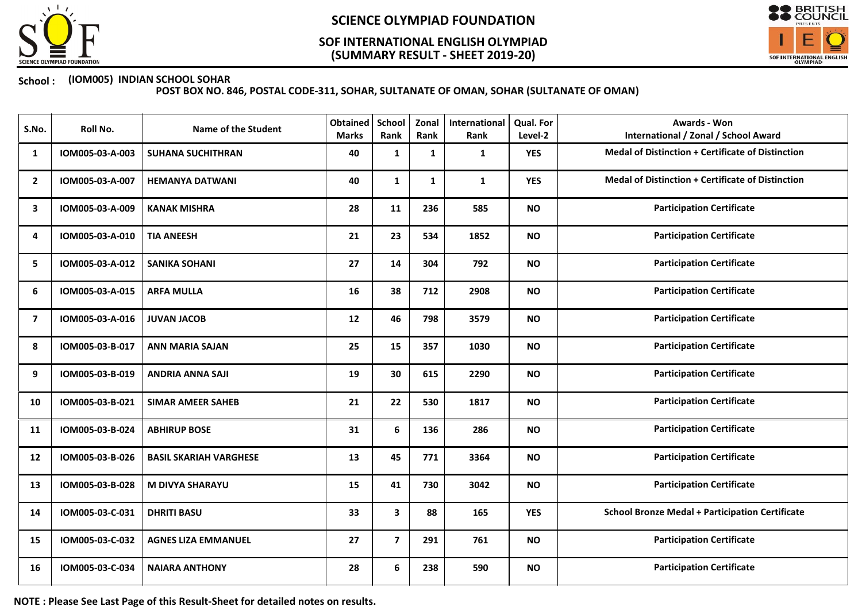

## (SUMMARY RESULT - SHEET 2019-20) SOF INTERNATIONAL ENGLISH OLYMPIAD



### School : (IOM005) INDIAN SCHOOL SOHAR

POST BOX NO. 846, POSTAL CODE-311, SOHAR, SULTANATE OF OMAN, SOHAR (SULTANATE OF OMAN)

| S.No.                   | Roll No.        | <b>Name of the Student</b>    | Obtained<br><b>Marks</b> | School<br>Rank | Zonal<br>Rank | International<br>Rank | Qual. For<br>Level-2 | <b>Awards - Won</b><br><b>International / Zonal / School Award</b> |
|-------------------------|-----------------|-------------------------------|--------------------------|----------------|---------------|-----------------------|----------------------|--------------------------------------------------------------------|
| 1                       | IOM005-03-A-003 | <b>SUHANA SUCHITHRAN</b>      | 40                       | 1              | 1             | 1                     | <b>YES</b>           | Medal of Distinction + Certificate of Distinction                  |
| $\mathbf{2}$            | IOM005-03-A-007 | <b>HEMANYA DATWANI</b>        | 40                       | $\mathbf{1}$   | $\mathbf{1}$  | $\mathbf{1}$          | <b>YES</b>           | Medal of Distinction + Certificate of Distinction                  |
| 3                       | IOM005-03-A-009 | <b>KANAK MISHRA</b>           | 28                       | 11             | 236           | 585                   | <b>NO</b>            | <b>Participation Certificate</b>                                   |
| 4                       | IOM005-03-A-010 | <b>TIA ANEESH</b>             | 21                       | 23             | 534           | 1852                  | <b>NO</b>            | <b>Participation Certificate</b>                                   |
| 5                       | IOM005-03-A-012 | <b>SANIKA SOHANI</b>          | 27                       | 14             | 304           | 792                   | <b>NO</b>            | <b>Participation Certificate</b>                                   |
| 6                       | IOM005-03-A-015 | <b>ARFA MULLA</b>             | 16                       | 38             | 712           | 2908                  | <b>NO</b>            | <b>Participation Certificate</b>                                   |
| $\overline{\mathbf{z}}$ | IOM005-03-A-016 | <b>JUVAN JACOB</b>            | 12                       | 46             | 798           | 3579                  | <b>NO</b>            | <b>Participation Certificate</b>                                   |
| 8                       | IOM005-03-B-017 | <b>ANN MARIA SAJAN</b>        | 25                       | 15             | 357           | 1030                  | <b>NO</b>            | <b>Participation Certificate</b>                                   |
| 9                       | IOM005-03-B-019 | <b>ANDRIA ANNA SAJI</b>       | 19                       | 30             | 615           | 2290                  | <b>NO</b>            | <b>Participation Certificate</b>                                   |
| 10                      | IOM005-03-B-021 | <b>SIMAR AMEER SAHEB</b>      | 21                       | 22             | 530           | 1817                  | <b>NO</b>            | <b>Participation Certificate</b>                                   |
| 11                      | IOM005-03-B-024 | <b>ABHIRUP BOSE</b>           | 31                       | 6              | 136           | 286                   | <b>NO</b>            | <b>Participation Certificate</b>                                   |
| 12                      | IOM005-03-B-026 | <b>BASIL SKARIAH VARGHESE</b> | 13                       | 45             | 771           | 3364                  | <b>NO</b>            | <b>Participation Certificate</b>                                   |
| 13                      | IOM005-03-B-028 | <b>M DIVYA SHARAYU</b>        | 15                       | 41             | 730           | 3042                  | <b>NO</b>            | <b>Participation Certificate</b>                                   |
| 14                      | IOM005-03-C-031 | <b>DHRITI BASU</b>            | 33                       | 3              | 88            | 165                   | <b>YES</b>           | <b>School Bronze Medal + Participation Certificate</b>             |
| 15                      | IOM005-03-C-032 | <b>AGNES LIZA EMMANUEL</b>    | 27                       | $\overline{7}$ | 291           | 761                   | <b>NO</b>            | <b>Participation Certificate</b>                                   |
| 16                      | IOM005-03-C-034 | <b>NAIARA ANTHONY</b>         | 28                       | 6              | 238           | 590                   | <b>NO</b>            | <b>Participation Certificate</b>                                   |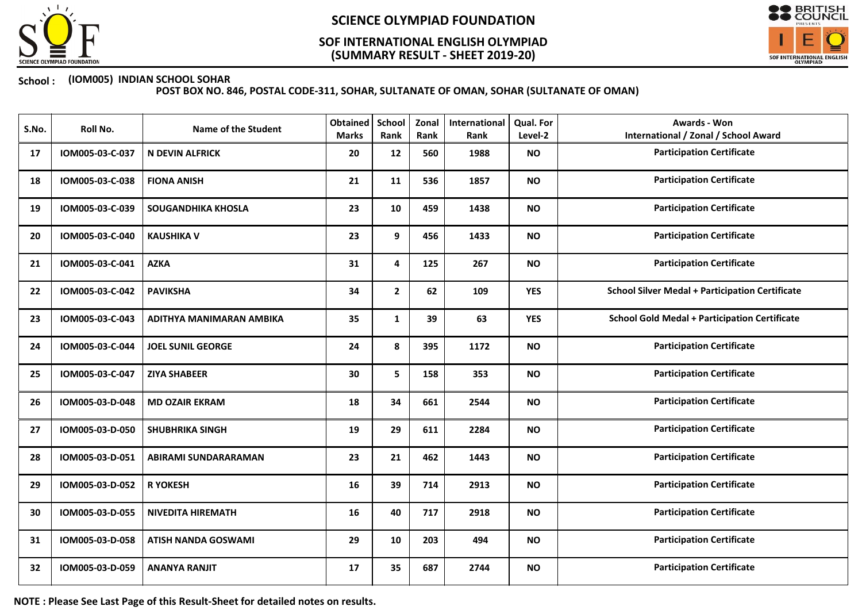

## (SUMMARY RESULT - SHEET 2019-20) SOF INTERNATIONAL ENGLISH OLYMPIAD



### School : (IOM005) INDIAN SCHOOL SOHAR

POST BOX NO. 846, POSTAL CODE-311, SOHAR, SULTANATE OF OMAN, SOHAR (SULTANATE OF OMAN)

| S.No. | Roll No.        | <b>Name of the Student</b> | <b>Obtained</b><br><b>Marks</b> | School<br>Rank | Zonal<br>Rank | International<br>Rank | Qual. For<br>Level-2 | <b>Awards - Won</b><br><b>International / Zonal / School Award</b> |
|-------|-----------------|----------------------------|---------------------------------|----------------|---------------|-----------------------|----------------------|--------------------------------------------------------------------|
| 17    | IOM005-03-C-037 | <b>N DEVIN ALFRICK</b>     | 20                              | 12             | 560           | 1988                  | <b>NO</b>            | <b>Participation Certificate</b>                                   |
| 18    | IOM005-03-C-038 | <b>FIONA ANISH</b>         | 21                              | 11             | 536           | 1857                  | <b>NO</b>            | <b>Participation Certificate</b>                                   |
| 19    | IOM005-03-C-039 | <b>SOUGANDHIKA KHOSLA</b>  | 23                              | 10             | 459           | 1438                  | <b>NO</b>            | <b>Participation Certificate</b>                                   |
| 20    | IOM005-03-C-040 | <b>KAUSHIKA V</b>          | 23                              | 9              | 456           | 1433                  | <b>NO</b>            | <b>Participation Certificate</b>                                   |
| 21    | IOM005-03-C-041 | <b>AZKA</b>                | 31                              | 4              | 125           | 267                   | <b>NO</b>            | <b>Participation Certificate</b>                                   |
| 22    | IOM005-03-C-042 | <b>PAVIKSHA</b>            | 34                              | $\mathbf{2}$   | 62            | 109                   | <b>YES</b>           | <b>School Silver Medal + Participation Certificate</b>             |
| 23    | IOM005-03-C-043 | ADITHYA MANIMARAN AMBIKA   | 35                              | $\mathbf{1}$   | 39            | 63                    | <b>YES</b>           | <b>School Gold Medal + Participation Certificate</b>               |
| 24    | IOM005-03-C-044 | <b>JOEL SUNIL GEORGE</b>   | 24                              | 8              | 395           | 1172                  | <b>NO</b>            | <b>Participation Certificate</b>                                   |
| 25    | IOM005-03-C-047 | <b>ZIYA SHABEER</b>        | 30                              | 5              | 158           | 353                   | <b>NO</b>            | <b>Participation Certificate</b>                                   |
| 26    | IOM005-03-D-048 | <b>MD OZAIR EKRAM</b>      | 18                              | 34             | 661           | 2544                  | <b>NO</b>            | <b>Participation Certificate</b>                                   |
| 27    | IOM005-03-D-050 | <b>SHUBHRIKA SINGH</b>     | 19                              | 29             | 611           | 2284                  | <b>NO</b>            | <b>Participation Certificate</b>                                   |
| 28    | IOM005-03-D-051 | ABIRAMI SUNDARARAMAN       | 23                              | 21             | 462           | 1443                  | <b>NO</b>            | <b>Participation Certificate</b>                                   |
| 29    | IOM005-03-D-052 | <b>R YOKESH</b>            | 16                              | 39             | 714           | 2913                  | <b>NO</b>            | <b>Participation Certificate</b>                                   |
| 30    | IOM005-03-D-055 | <b>NIVEDITA HIREMATH</b>   | 16                              | 40             | 717           | 2918                  | <b>NO</b>            | <b>Participation Certificate</b>                                   |
| 31    | IOM005-03-D-058 | <b>ATISH NANDA GOSWAMI</b> | 29                              | 10             | 203           | 494                   | <b>NO</b>            | <b>Participation Certificate</b>                                   |
| 32    | IOM005-03-D-059 | <b>ANANYA RANJIT</b>       | 17                              | 35             | 687           | 2744                  | <b>NO</b>            | <b>Participation Certificate</b>                                   |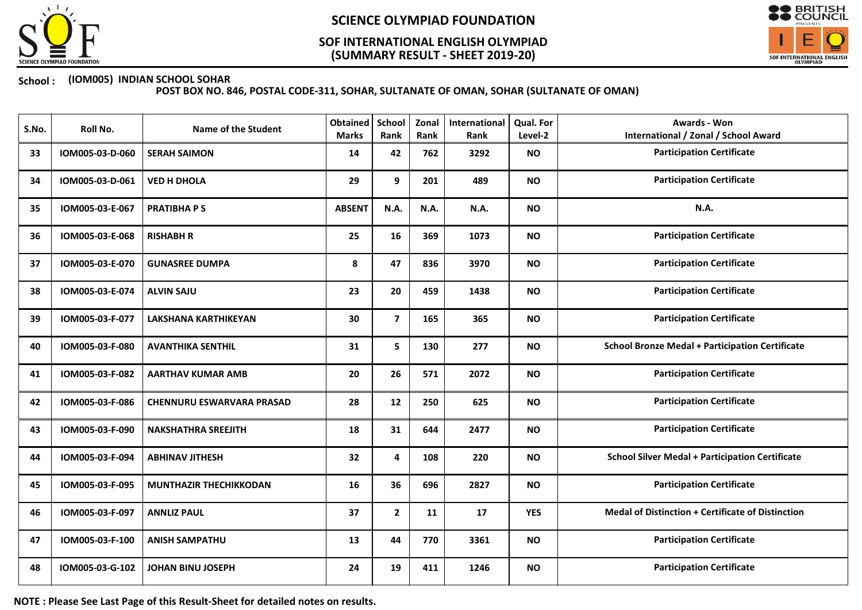

## (SUMMARY RESULT - SHEET 2019-20) SOF INTERNATIONAL ENGLISH OLYMPIAD



### School : (IOM005) INDIAN SCHOOL SOHAR

POST BOX NO. 846, POSTAL CODE-311, SOHAR, SULTANATE OF OMAN, SOHAR (SULTANATE OF OMAN)

| S.No. | Roll No.        | <b>Name of the Student</b>       | <b>Obtained</b><br><b>Marks</b> | School<br>Rank | Zonal<br>Rank | International<br>Rank | Qual. For<br>Level-2 | <b>Awards - Won</b><br><b>International / Zonal / School Award</b> |
|-------|-----------------|----------------------------------|---------------------------------|----------------|---------------|-----------------------|----------------------|--------------------------------------------------------------------|
| 33    | IOM005-03-D-060 | <b>SERAH SAIMON</b>              | 14                              | 42             | 762           | 3292                  | <b>NO</b>            | <b>Participation Certificate</b>                                   |
| 34    | IOM005-03-D-061 | <b>VED H DHOLA</b>               | 29                              | 9              | 201           | 489                   | <b>NO</b>            | <b>Participation Certificate</b>                                   |
| 35    | IOM005-03-E-067 | <b>PRATIBHAPS</b>                | <b>ABSENT</b>                   | <b>N.A.</b>    | N.A.          | N.A.                  | <b>NO</b>            | N.A.                                                               |
| 36    | IOM005-03-E-068 | <b>RISHABH R</b>                 | 25                              | 16             | 369           | 1073                  | <b>NO</b>            | <b>Participation Certificate</b>                                   |
| 37    | IOM005-03-E-070 | <b>GUNASREE DUMPA</b>            | 8                               | 47             | 836           | 3970                  | <b>NO</b>            | <b>Participation Certificate</b>                                   |
| 38    | IOM005-03-E-074 | <b>ALVIN SAJU</b>                | 23                              | 20             | 459           | 1438                  | <b>NO</b>            | <b>Participation Certificate</b>                                   |
| 39    | IOM005-03-F-077 | <b>LAKSHANA KARTHIKEYAN</b>      | 30                              | $\overline{7}$ | 165           | 365                   | <b>NO</b>            | <b>Participation Certificate</b>                                   |
| 40    | IOM005-03-F-080 | <b>AVANTHIKA SENTHIL</b>         | 31                              | 5              | 130           | 277                   | <b>NO</b>            | <b>School Bronze Medal + Participation Certificate</b>             |
| 41    | IOM005-03-F-082 | <b>AARTHAV KUMAR AMB</b>         | 20                              | 26             | 571           | 2072                  | <b>NO</b>            | <b>Participation Certificate</b>                                   |
| 42    | IOM005-03-F-086 | <b>CHENNURU ESWARVARA PRASAD</b> | 28                              | 12             | 250           | 625                   | <b>NO</b>            | <b>Participation Certificate</b>                                   |
| 43    | IOM005-03-F-090 | <b>NAKSHATHRA SREEJITH</b>       | 18                              | 31             | 644           | 2477                  | <b>NO</b>            | <b>Participation Certificate</b>                                   |
| 44    | IOM005-03-F-094 | <b>ABHINAV JITHESH</b>           | 32                              | 4              | 108           | 220                   | <b>NO</b>            | <b>School Silver Medal + Participation Certificate</b>             |
| 45    | IOM005-03-F-095 | <b>MUNTHAZIR THECHIKKODAN</b>    | 16                              | 36             | 696           | 2827                  | <b>NO</b>            | <b>Participation Certificate</b>                                   |
| 46    | IOM005-03-F-097 | <b>ANNLIZ PAUL</b>               | 37                              | $\mathbf{2}$   | 11            | 17                    | <b>YES</b>           | <b>Medal of Distinction + Certificate of Distinction</b>           |
| 47    | IOM005-03-F-100 | <b>ANISH SAMPATHU</b>            | 13                              | 44             | 770           | 3361                  | <b>NO</b>            | <b>Participation Certificate</b>                                   |
| 48    | IOM005-03-G-102 | <b>JOHAN BINU JOSEPH</b>         | 24                              | 19             | 411           | 1246                  | <b>NO</b>            | <b>Participation Certificate</b>                                   |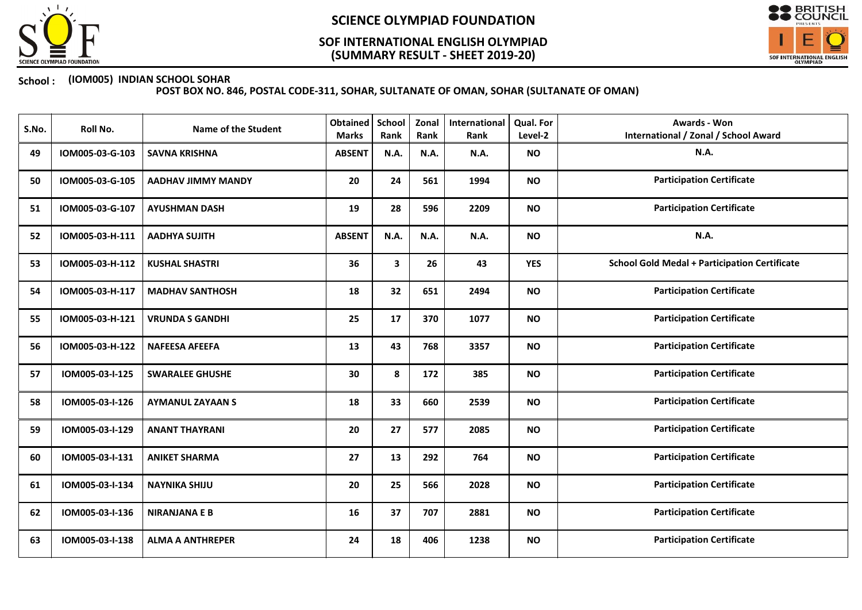

## (SUMMARY RESULT - SHEET 2019-20) SOF INTERNATIONAL ENGLISH OLYMPIAD



### School : (IOM005) INDIAN SCHOOL SOHAR

| S.No. | Roll No.        | <b>Name of the Student</b> | <b>Obtained</b><br><b>Marks</b> | <b>School</b><br>Rank | Zonal<br>Rank | International<br>Rank | <b>Qual. For</b><br>Level-2 | <b>Awards - Won</b><br><b>International / Zonal / School Award</b> |
|-------|-----------------|----------------------------|---------------------------------|-----------------------|---------------|-----------------------|-----------------------------|--------------------------------------------------------------------|
| 49    | IOM005-03-G-103 | <b>SAVNA KRISHNA</b>       | <b>ABSENT</b>                   | N.A.                  | N.A.          | N.A.                  | <b>NO</b>                   | N.A.                                                               |
| 50    | IOM005-03-G-105 | <b>AADHAV JIMMY MANDY</b>  | 20                              | 24                    | 561           | 1994                  | <b>NO</b>                   | <b>Participation Certificate</b>                                   |
| 51    | IOM005-03-G-107 | <b>AYUSHMAN DASH</b>       | 19                              | 28                    | 596           | 2209                  | <b>NO</b>                   | <b>Participation Certificate</b>                                   |
| 52    | IOM005-03-H-111 | <b>AADHYA SUJITH</b>       | <b>ABSENT</b>                   | N.A.                  | N.A.          | N.A.                  | <b>NO</b>                   | N.A.                                                               |
| 53    | IOM005-03-H-112 | <b>KUSHAL SHASTRI</b>      | 36                              | 3                     | 26            | 43                    | <b>YES</b>                  | <b>School Gold Medal + Participation Certificate</b>               |
| 54    | IOM005-03-H-117 | <b>MADHAV SANTHOSH</b>     | 18                              | 32                    | 651           | 2494                  | <b>NO</b>                   | <b>Participation Certificate</b>                                   |
| 55    | IOM005-03-H-121 | <b>VRUNDA S GANDHI</b>     | 25                              | 17                    | 370           | 1077                  | <b>NO</b>                   | <b>Participation Certificate</b>                                   |
| 56    | IOM005-03-H-122 | <b>NAFEESA AFEEFA</b>      | 13                              | 43                    | 768           | 3357                  | <b>NO</b>                   | <b>Participation Certificate</b>                                   |
| 57    | IOM005-03-I-125 | <b>SWARALEE GHUSHE</b>     | 30                              | 8                     | 172           | 385                   | <b>NO</b>                   | <b>Participation Certificate</b>                                   |
| 58    | IOM005-03-I-126 | <b>AYMANUL ZAYAAN S</b>    | 18                              | 33                    | 660           | 2539                  | <b>NO</b>                   | <b>Participation Certificate</b>                                   |
| 59    | IOM005-03-I-129 | <b>ANANT THAYRANI</b>      | 20                              | 27                    | 577           | 2085                  | <b>NO</b>                   | <b>Participation Certificate</b>                                   |
| 60    | IOM005-03-I-131 | <b>ANIKET SHARMA</b>       | 27                              | 13                    | 292           | 764                   | <b>NO</b>                   | <b>Participation Certificate</b>                                   |
| 61    | IOM005-03-I-134 | <b>NAYNIKA SHIJU</b>       | 20                              | 25                    | 566           | 2028                  | <b>NO</b>                   | <b>Participation Certificate</b>                                   |
| 62    | IOM005-03-I-136 | <b>NIRANJANA E B</b>       | 16                              | 37                    | 707           | 2881                  | <b>NO</b>                   | <b>Participation Certificate</b>                                   |
| 63    | IOM005-03-I-138 | <b>ALMA A ANTHREPER</b>    | 24                              | 18                    | 406           | 1238                  | <b>NO</b>                   | <b>Participation Certificate</b>                                   |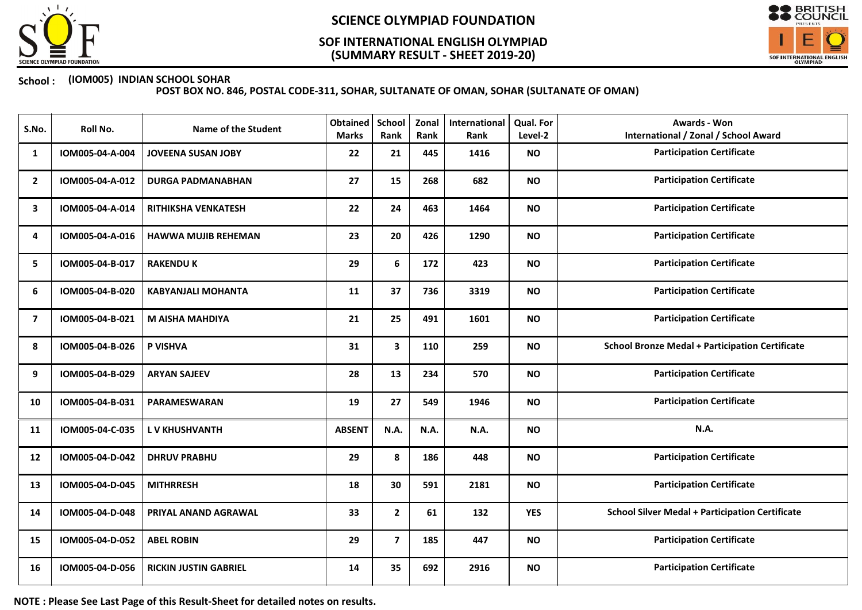

## (SUMMARY RESULT - SHEET 2019-20) SOF INTERNATIONAL ENGLISH OLYMPIAD



### School : (IOM005) INDIAN SCHOOL SOHAR

POST BOX NO. 846, POSTAL CODE-311, SOHAR, SULTANATE OF OMAN, SOHAR (SULTANATE OF OMAN)

| S.No.          | Roll No.        | <b>Name of the Student</b>   | <b>Obtained</b><br><b>Marks</b> | School<br>Rank | Zonal<br>Rank | International<br>Rank | Qual. For<br>Level-2 | Awards - Won<br><b>International / Zonal / School Award</b> |
|----------------|-----------------|------------------------------|---------------------------------|----------------|---------------|-----------------------|----------------------|-------------------------------------------------------------|
| 1              | IOM005-04-A-004 | <b>JOVEENA SUSAN JOBY</b>    | 22                              | 21             | 445           | 1416                  | <b>NO</b>            | <b>Participation Certificate</b>                            |
| $\overline{2}$ | IOM005-04-A-012 | <b>DURGA PADMANABHAN</b>     | 27                              | 15             | 268           | 682                   | <b>NO</b>            | <b>Participation Certificate</b>                            |
| 3              | IOM005-04-A-014 | <b>RITHIKSHA VENKATESH</b>   | 22                              | 24             | 463           | 1464                  | <b>NO</b>            | <b>Participation Certificate</b>                            |
| 4              | IOM005-04-A-016 | <b>HAWWA MUJIB REHEMAN</b>   | 23                              | 20             | 426           | 1290                  | <b>NO</b>            | <b>Participation Certificate</b>                            |
| 5              | IOM005-04-B-017 | <b>RAKENDU K</b>             | 29                              | 6              | 172           | 423                   | <b>NO</b>            | <b>Participation Certificate</b>                            |
| 6              | IOM005-04-B-020 | <b>KABYANJALI MOHANTA</b>    | 11                              | 37             | 736           | 3319                  | <b>NO</b>            | <b>Participation Certificate</b>                            |
| $\overline{7}$ | IOM005-04-B-021 | <b>M AISHA MAHDIYA</b>       | 21                              | 25             | 491           | 1601                  | <b>NO</b>            | <b>Participation Certificate</b>                            |
| 8              | IOM005-04-B-026 | P VISHVA                     | 31                              | $\mathbf{3}$   | 110           | 259                   | <b>NO</b>            | <b>School Bronze Medal + Participation Certificate</b>      |
| 9              | IOM005-04-B-029 | <b>ARYAN SAJEEV</b>          | 28                              | 13             | 234           | 570                   | <b>NO</b>            | <b>Participation Certificate</b>                            |
| 10             | IOM005-04-B-031 | <b>PARAMESWARAN</b>          | 19                              | 27             | 549           | 1946                  | <b>NO</b>            | <b>Participation Certificate</b>                            |
| 11             | IOM005-04-C-035 | <b>LV KHUSHVANTH</b>         | <b>ABSENT</b>                   | <b>N.A.</b>    | N.A.          | N.A.                  | <b>NO</b>            | <b>N.A.</b>                                                 |
| 12             | IOM005-04-D-042 | <b>DHRUV PRABHU</b>          | 29                              | 8              | 186           | 448                   | <b>NO</b>            | <b>Participation Certificate</b>                            |
| 13             | IOM005-04-D-045 | <b>MITHRRESH</b>             | 18                              | 30             | 591           | 2181                  | <b>NO</b>            | <b>Participation Certificate</b>                            |
| 14             | IOM005-04-D-048 | PRIYAL ANAND AGRAWAL         | 33                              | $\mathbf{2}$   | 61            | 132                   | <b>YES</b>           | <b>School Silver Medal + Participation Certificate</b>      |
| 15             | IOM005-04-D-052 | <b>ABEL ROBIN</b>            | 29                              | $\overline{7}$ | 185           | 447                   | <b>NO</b>            | <b>Participation Certificate</b>                            |
| 16             | IOM005-04-D-056 | <b>RICKIN JUSTIN GABRIEL</b> | 14                              | 35             | 692           | 2916                  | <b>NO</b>            | <b>Participation Certificate</b>                            |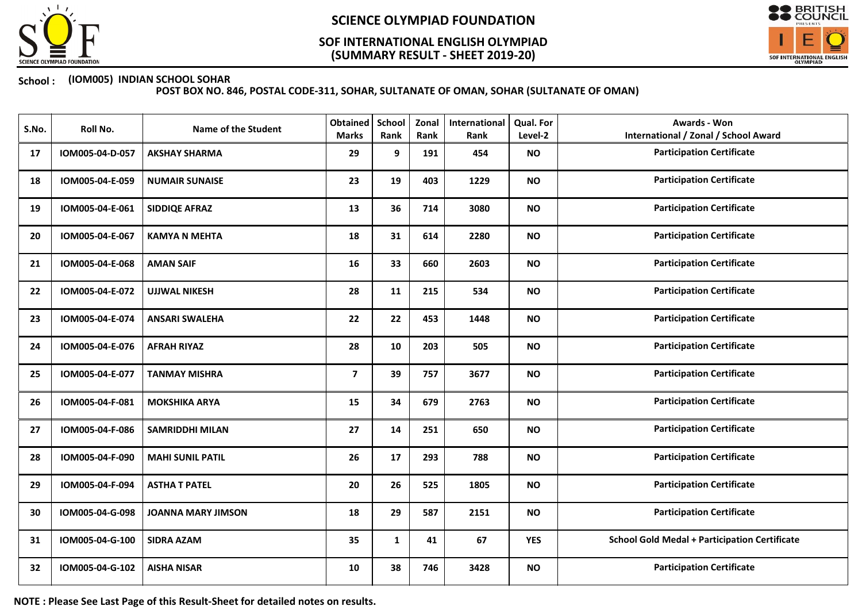

## (SUMMARY RESULT - SHEET 2019-20) SOF INTERNATIONAL ENGLISH OLYMPIAD



### School : (IOM005) INDIAN SCHOOL SOHAR

POST BOX NO. 846, POSTAL CODE-311, SOHAR, SULTANATE OF OMAN, SOHAR (SULTANATE OF OMAN)

| S.No. | Roll No.        | <b>Name of the Student</b> | <b>Obtained</b><br><b>Marks</b> | School<br>Rank | Zonal<br>Rank | International<br>Rank | Qual. For<br>Level-2 | <b>Awards - Won</b><br><b>International / Zonal / School Award</b> |
|-------|-----------------|----------------------------|---------------------------------|----------------|---------------|-----------------------|----------------------|--------------------------------------------------------------------|
| 17    | IOM005-04-D-057 | <b>AKSHAY SHARMA</b>       | 29                              | 9              | 191           | 454                   | <b>NO</b>            | <b>Participation Certificate</b>                                   |
| 18    | IOM005-04-E-059 | <b>NUMAIR SUNAISE</b>      | 23                              | 19             | 403           | 1229                  | <b>NO</b>            | <b>Participation Certificate</b>                                   |
| 19    | IOM005-04-E-061 | <b>SIDDIQE AFRAZ</b>       | 13                              | 36             | 714           | 3080                  | <b>NO</b>            | <b>Participation Certificate</b>                                   |
| 20    | IOM005-04-E-067 | <b>KAMYA N MEHTA</b>       | 18                              | 31             | 614           | 2280                  | <b>NO</b>            | <b>Participation Certificate</b>                                   |
| 21    | IOM005-04-E-068 | <b>AMAN SAIF</b>           | 16                              | 33             | 660           | 2603                  | <b>NO</b>            | <b>Participation Certificate</b>                                   |
| 22    | IOM005-04-E-072 | <b>UJJWAL NIKESH</b>       | 28                              | 11             | 215           | 534                   | <b>NO</b>            | <b>Participation Certificate</b>                                   |
| 23    | IOM005-04-E-074 | <b>ANSARI SWALEHA</b>      | 22                              | 22             | 453           | 1448                  | <b>NO</b>            | <b>Participation Certificate</b>                                   |
| 24    | IOM005-04-E-076 | <b>AFRAH RIYAZ</b>         | 28                              | 10             | 203           | 505                   | <b>NO</b>            | <b>Participation Certificate</b>                                   |
| 25    | IOM005-04-E-077 | <b>TANMAY MISHRA</b>       | $\overline{\mathbf{z}}$         | 39             | 757           | 3677                  | <b>NO</b>            | <b>Participation Certificate</b>                                   |
| 26    | IOM005-04-F-081 | <b>MOKSHIKA ARYA</b>       | 15                              | 34             | 679           | 2763                  | <b>NO</b>            | <b>Participation Certificate</b>                                   |
| 27    | IOM005-04-F-086 | <b>SAMRIDDHI MILAN</b>     | 27                              | 14             | 251           | 650                   | <b>NO</b>            | <b>Participation Certificate</b>                                   |
| 28    | IOM005-04-F-090 | <b>MAHI SUNIL PATIL</b>    | 26                              | 17             | 293           | 788                   | <b>NO</b>            | <b>Participation Certificate</b>                                   |
| 29    | IOM005-04-F-094 | <b>ASTHA T PATEL</b>       | 20                              | 26             | 525           | 1805                  | <b>NO</b>            | <b>Participation Certificate</b>                                   |
| 30    | IOM005-04-G-098 | <b>JOANNA MARY JIMSON</b>  | 18                              | 29             | 587           | 2151                  | <b>NO</b>            | <b>Participation Certificate</b>                                   |
| 31    | IOM005-04-G-100 | <b>SIDRA AZAM</b>          | 35                              | $\mathbf{1}$   | 41            | 67                    | <b>YES</b>           | <b>School Gold Medal + Participation Certificate</b>               |
| 32    | IOM005-04-G-102 | <b>AISHA NISAR</b>         | 10                              | 38             | 746           | 3428                  | <b>NO</b>            | <b>Participation Certificate</b>                                   |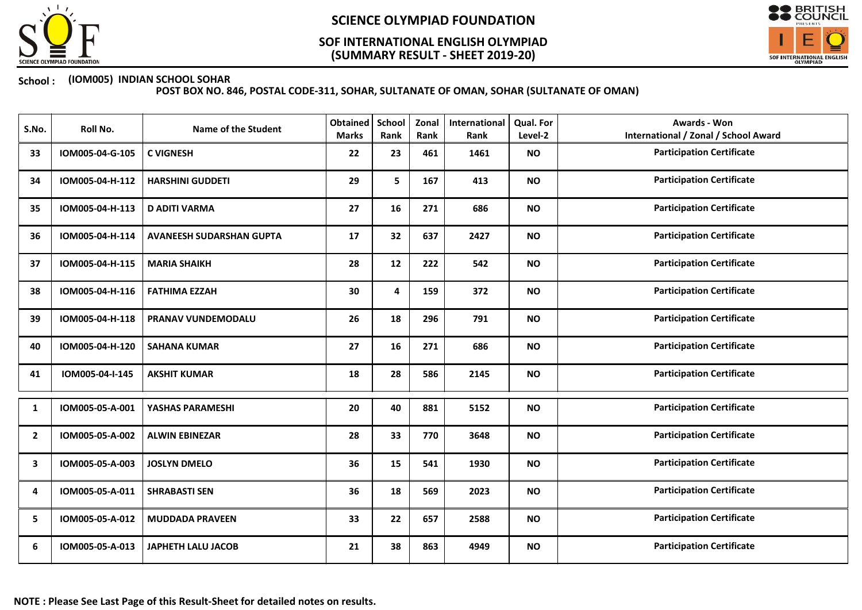

## (SUMMARY RESULT - SHEET 2019-20) SOF INTERNATIONAL ENGLISH OLYMPIAD



### School : (IOM005) INDIAN SCHOOL SOHAR

| S.No.          | Roll No.        | <b>Name of the Student</b>      | Obtained<br><b>Marks</b> | <b>School</b><br>Rank | Zonal<br>Rank | International<br>Rank | Qual. For<br>Level-2 | Awards - Won<br><b>International / Zonal / School Award</b> |
|----------------|-----------------|---------------------------------|--------------------------|-----------------------|---------------|-----------------------|----------------------|-------------------------------------------------------------|
| 33             | IOM005-04-G-105 | <b>C VIGNESH</b>                | 22                       | 23                    | 461           | 1461                  | <b>NO</b>            | <b>Participation Certificate</b>                            |
| 34             | IOM005-04-H-112 | <b>HARSHINI GUDDETI</b>         | 29                       | 5                     | 167           | 413                   | <b>NO</b>            | <b>Participation Certificate</b>                            |
| 35             | IOM005-04-H-113 | <b>D ADITI VARMA</b>            | 27                       | 16                    | 271           | 686                   | <b>NO</b>            | <b>Participation Certificate</b>                            |
| 36             | IOM005-04-H-114 | <b>AVANEESH SUDARSHAN GUPTA</b> | 17                       | 32                    | 637           | 2427                  | <b>NO</b>            | <b>Participation Certificate</b>                            |
| 37             | IOM005-04-H-115 | <b>MARIA SHAIKH</b>             | 28                       | 12                    | 222           | 542                   | <b>NO</b>            | <b>Participation Certificate</b>                            |
| 38             | IOM005-04-H-116 | <b>FATHIMA EZZAH</b>            | 30                       | 4                     | 159           | 372                   | <b>NO</b>            | <b>Participation Certificate</b>                            |
| 39             | IOM005-04-H-118 | PRANAV VUNDEMODALU              | 26                       | 18                    | 296           | 791                   | <b>NO</b>            | <b>Participation Certificate</b>                            |
| 40             | IOM005-04-H-120 | <b>SAHANA KUMAR</b>             | 27                       | 16                    | 271           | 686                   | <b>NO</b>            | <b>Participation Certificate</b>                            |
| 41             | IOM005-04-I-145 | <b>AKSHIT KUMAR</b>             | 18                       | 28                    | 586           | 2145                  | <b>NO</b>            | <b>Participation Certificate</b>                            |
| 1              | IOM005-05-A-001 | YASHAS PARAMESHI                | 20                       | 40                    | 881           | 5152                  | <b>NO</b>            | <b>Participation Certificate</b>                            |
| $\overline{2}$ | IOM005-05-A-002 | <b>ALWIN EBINEZAR</b>           | 28                       | 33                    | 770           | 3648                  | <b>NO</b>            | <b>Participation Certificate</b>                            |
| 3              | IOM005-05-A-003 | <b>JOSLYN DMELO</b>             | 36                       | 15                    | 541           | 1930                  | <b>NO</b>            | <b>Participation Certificate</b>                            |
| 4              | IOM005-05-A-011 | <b>SHRABASTI SEN</b>            | 36                       | 18                    | 569           | 2023                  | <b>NO</b>            | <b>Participation Certificate</b>                            |
| 5              | IOM005-05-A-012 | <b>MUDDADA PRAVEEN</b>          | 33                       | 22                    | 657           | 2588                  | <b>NO</b>            | <b>Participation Certificate</b>                            |
| 6              | IOM005-05-A-013 | <b>JAPHETH LALU JACOB</b>       | 21                       | 38                    | 863           | 4949                  | <b>NO</b>            | <b>Participation Certificate</b>                            |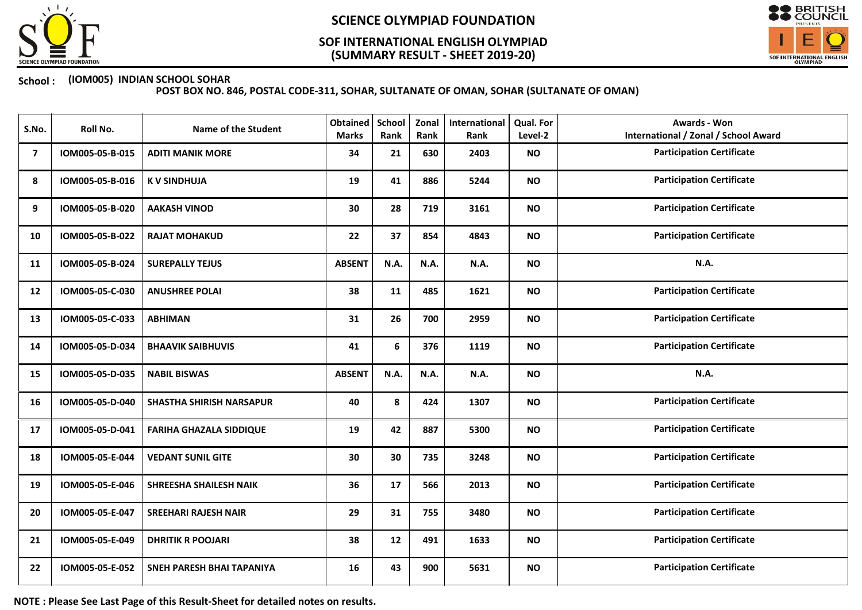

## (SUMMARY RESULT - SHEET 2019-20) SOF INTERNATIONAL ENGLISH OLYMPIAD



### School : (IOM005) INDIAN SCHOOL SOHAR

POST BOX NO. 846, POSTAL CODE-311, SOHAR, SULTANATE OF OMAN, SOHAR (SULTANATE OF OMAN)

| S.No. | Roll No.        | <b>Name of the Student</b>      | <b>Obtained</b><br><b>Marks</b> | <b>School</b><br>Rank | Zonal<br>Rank | International<br>Rank | Qual. For<br>Level-2 | Awards - Won<br><b>International / Zonal / School Award</b> |
|-------|-----------------|---------------------------------|---------------------------------|-----------------------|---------------|-----------------------|----------------------|-------------------------------------------------------------|
| 7     | IOM005-05-B-015 | <b>ADITI MANIK MORE</b>         | 34                              | 21                    | 630           | 2403                  | <b>NO</b>            | <b>Participation Certificate</b>                            |
| 8     | IOM005-05-B-016 | <b>KV SINDHUJA</b>              | 19                              | 41                    | 886           | 5244                  | <b>NO</b>            | <b>Participation Certificate</b>                            |
| 9     | IOM005-05-B-020 | <b>AAKASH VINOD</b>             | 30                              | 28                    | 719           | 3161                  | <b>NO</b>            | <b>Participation Certificate</b>                            |
| 10    | IOM005-05-B-022 | <b>RAJAT MOHAKUD</b>            | 22                              | 37                    | 854           | 4843                  | <b>NO</b>            | <b>Participation Certificate</b>                            |
| 11    | IOM005-05-B-024 | <b>SUREPALLY TEJUS</b>          | <b>ABSENT</b>                   | N.A.                  | N.A.          | N.A.                  | <b>NO</b>            | N.A.                                                        |
| 12    | IOM005-05-C-030 | <b>ANUSHREE POLAI</b>           | 38                              | 11                    | 485           | 1621                  | <b>NO</b>            | <b>Participation Certificate</b>                            |
| 13    | IOM005-05-C-033 | <b>ABHIMAN</b>                  | 31                              | 26                    | 700           | 2959                  | <b>NO</b>            | <b>Participation Certificate</b>                            |
| 14    | IOM005-05-D-034 | <b>BHAAVIK SAIBHUVIS</b>        | 41                              | 6                     | 376           | 1119                  | <b>NO</b>            | <b>Participation Certificate</b>                            |
| 15    | IOM005-05-D-035 | <b>NABIL BISWAS</b>             | <b>ABSENT</b>                   | <b>N.A.</b>           | N.A.          | N.A.                  | <b>NO</b>            | <b>N.A.</b>                                                 |
| 16    | IOM005-05-D-040 | <b>SHASTHA SHIRISH NARSAPUR</b> | 40                              | 8                     | 424           | 1307                  | <b>NO</b>            | <b>Participation Certificate</b>                            |
| 17    | IOM005-05-D-041 | <b>FARIHA GHAZALA SIDDIQUE</b>  | 19                              | 42                    | 887           | 5300                  | <b>NO</b>            | <b>Participation Certificate</b>                            |
| 18    | IOM005-05-E-044 | <b>VEDANT SUNIL GITE</b>        | 30                              | 30                    | 735           | 3248                  | <b>NO</b>            | <b>Participation Certificate</b>                            |
| 19    | IOM005-05-E-046 | <b>SHREESHA SHAILESH NAIK</b>   | 36                              | 17                    | 566           | 2013                  | <b>NO</b>            | <b>Participation Certificate</b>                            |
| 20    | IOM005-05-E-047 | <b>SREEHARI RAJESH NAIR</b>     | 29                              | 31                    | 755           | 3480                  | <b>NO</b>            | <b>Participation Certificate</b>                            |
| 21    | IOM005-05-E-049 | <b>DHRITIK R POOJARI</b>        | 38                              | 12                    | 491           | 1633                  | <b>NO</b>            | <b>Participation Certificate</b>                            |
| 22    | IOM005-05-E-052 | SNEH PARESH BHAI TAPANIYA       | 16                              | 43                    | 900           | 5631                  | <b>NO</b>            | <b>Participation Certificate</b>                            |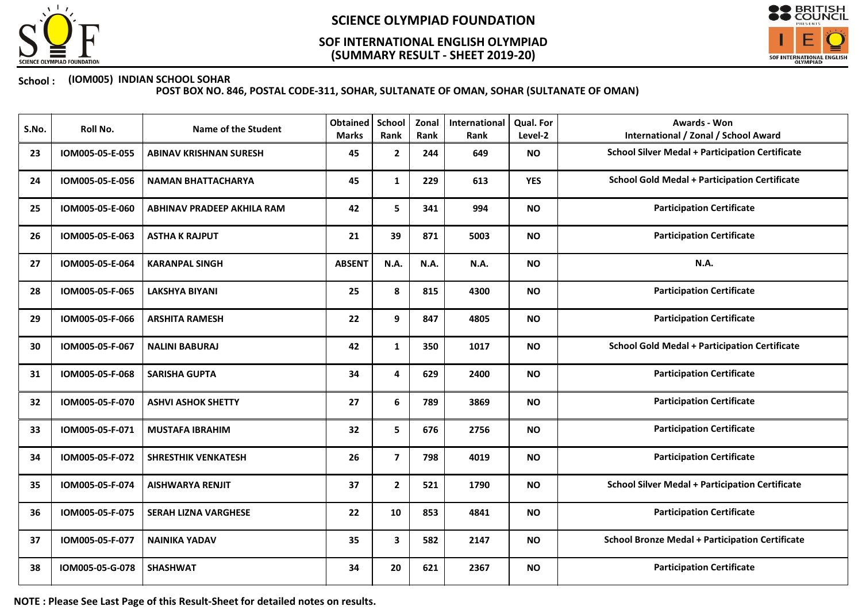

## (SUMMARY RESULT - SHEET 2019-20) SOF INTERNATIONAL ENGLISH OLYMPIAD



### School : (IOM005) INDIAN SCHOOL SOHAR

POST BOX NO. 846, POSTAL CODE-311, SOHAR, SULTANATE OF OMAN, SOHAR (SULTANATE OF OMAN)

| S.No. | Roll No.        | <b>Name of the Student</b>    | <b>Obtained</b><br><b>Marks</b> | School<br>Rank | Zonal<br>Rank | <b>International</b><br>Rank | <b>Qual. For</b><br>Level-2 | Awards - Won<br><b>International / Zonal / School Award</b> |
|-------|-----------------|-------------------------------|---------------------------------|----------------|---------------|------------------------------|-----------------------------|-------------------------------------------------------------|
| 23    | IOM005-05-E-055 | <b>ABINAV KRISHNAN SURESH</b> | 45                              | $\mathbf{2}$   | 244           | 649                          | <b>NO</b>                   | <b>School Silver Medal + Participation Certificate</b>      |
| 24    | IOM005-05-E-056 | <b>NAMAN BHATTACHARYA</b>     | 45                              | $\mathbf{1}$   | 229           | 613                          | <b>YES</b>                  | <b>School Gold Medal + Participation Certificate</b>        |
| 25    | IOM005-05-E-060 | ABHINAV PRADEEP AKHILA RAM    | 42                              | 5              | 341           | 994                          | <b>NO</b>                   | <b>Participation Certificate</b>                            |
| 26    | IOM005-05-E-063 | <b>ASTHA K RAJPUT</b>         | 21                              | 39             | 871           | 5003                         | <b>NO</b>                   | <b>Participation Certificate</b>                            |
| 27    | IOM005-05-E-064 | <b>KARANPAL SINGH</b>         | <b>ABSENT</b>                   | N.A.           | N.A.          | N.A.                         | <b>NO</b>                   | N.A.                                                        |
| 28    | IOM005-05-F-065 | <b>LAKSHYA BIYANI</b>         | 25                              | 8              | 815           | 4300                         | <b>NO</b>                   | <b>Participation Certificate</b>                            |
| 29    | IOM005-05-F-066 | <b>ARSHITA RAMESH</b>         | 22                              | 9              | 847           | 4805                         | <b>NO</b>                   | <b>Participation Certificate</b>                            |
| 30    | IOM005-05-F-067 | <b>NALINI BABURAJ</b>         | 42                              | $\mathbf{1}$   | 350           | 1017                         | <b>NO</b>                   | <b>School Gold Medal + Participation Certificate</b>        |
| 31    | IOM005-05-F-068 | <b>SARISHA GUPTA</b>          | 34                              | 4              | 629           | 2400                         | <b>NO</b>                   | <b>Participation Certificate</b>                            |
| 32    | IOM005-05-F-070 | <b>ASHVI ASHOK SHETTY</b>     | 27                              | 6              | 789           | 3869                         | <b>NO</b>                   | <b>Participation Certificate</b>                            |
| 33    | IOM005-05-F-071 | <b>MUSTAFA IBRAHIM</b>        | 32                              | 5              | 676           | 2756                         | <b>NO</b>                   | <b>Participation Certificate</b>                            |
| 34    | IOM005-05-F-072 | <b>SHRESTHIK VENKATESH</b>    | 26                              | $\overline{7}$ | 798           | 4019                         | <b>NO</b>                   | <b>Participation Certificate</b>                            |
| 35    | IOM005-05-F-074 | <b>AISHWARYA RENJIT</b>       | 37                              | $\mathbf{2}$   | 521           | 1790                         | <b>NO</b>                   | <b>School Silver Medal + Participation Certificate</b>      |
| 36    | IOM005-05-F-075 | <b>SERAH LIZNA VARGHESE</b>   | 22                              | 10             | 853           | 4841                         | <b>NO</b>                   | <b>Participation Certificate</b>                            |
| 37    | IOM005-05-F-077 | <b>NAINIKA YADAV</b>          | 35                              | 3              | 582           | 2147                         | <b>NO</b>                   | <b>School Bronze Medal + Participation Certificate</b>      |
| 38    | IOM005-05-G-078 | <b>SHASHWAT</b>               | 34                              | 20             | 621           | 2367                         | <b>NO</b>                   | <b>Participation Certificate</b>                            |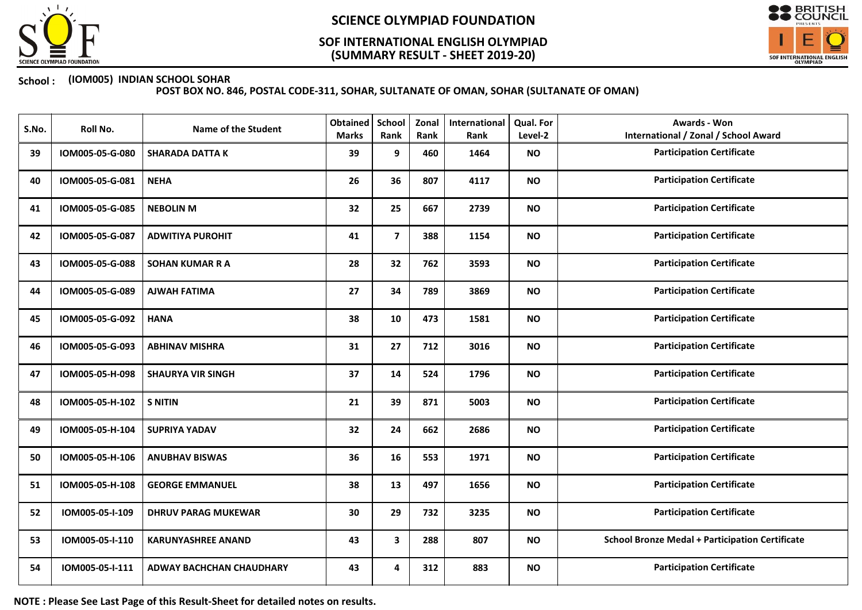

## (SUMMARY RESULT - SHEET 2019-20) SOF INTERNATIONAL ENGLISH OLYMPIAD



### School : (IOM005) INDIAN SCHOOL SOHAR

POST BOX NO. 846, POSTAL CODE-311, SOHAR, SULTANATE OF OMAN, SOHAR (SULTANATE OF OMAN)

| S.No. | Roll No.        | <b>Name of the Student</b>      | <b>Obtained</b><br><b>Marks</b> | School<br>Rank          | Zonal<br>Rank | International<br>Rank | Qual. For<br>Level-2 | <b>Awards - Won</b><br><b>International / Zonal / School Award</b> |
|-------|-----------------|---------------------------------|---------------------------------|-------------------------|---------------|-----------------------|----------------------|--------------------------------------------------------------------|
| 39    | IOM005-05-G-080 | <b>SHARADA DATTA K</b>          | 39                              | 9                       | 460           | 1464                  | <b>NO</b>            | <b>Participation Certificate</b>                                   |
| 40    | IOM005-05-G-081 | <b>NEHA</b>                     | 26                              | 36                      | 807           | 4117                  | <b>NO</b>            | <b>Participation Certificate</b>                                   |
| 41    | IOM005-05-G-085 | <b>NEBOLIN M</b>                | 32                              | 25                      | 667           | 2739                  | <b>NO</b>            | <b>Participation Certificate</b>                                   |
| 42    | IOM005-05-G-087 | <b>ADWITIYA PUROHIT</b>         | 41                              | $\overline{7}$          | 388           | 1154                  | <b>NO</b>            | <b>Participation Certificate</b>                                   |
| 43    | IOM005-05-G-088 | <b>SOHAN KUMAR R A</b>          | 28                              | 32                      | 762           | 3593                  | <b>NO</b>            | <b>Participation Certificate</b>                                   |
| 44    | IOM005-05-G-089 | <b>AJWAH FATIMA</b>             | 27                              | 34                      | 789           | 3869                  | <b>NO</b>            | <b>Participation Certificate</b>                                   |
| 45    | IOM005-05-G-092 | <b>HANA</b>                     | 38                              | 10                      | 473           | 1581                  | <b>NO</b>            | <b>Participation Certificate</b>                                   |
| 46    | IOM005-05-G-093 | <b>ABHINAV MISHRA</b>           | 31                              | 27                      | 712           | 3016                  | <b>NO</b>            | <b>Participation Certificate</b>                                   |
| 47    | IOM005-05-H-098 | <b>SHAURYA VIR SINGH</b>        | 37                              | 14                      | 524           | 1796                  | <b>NO</b>            | <b>Participation Certificate</b>                                   |
| 48    | IOM005-05-H-102 | <b>S NITIN</b>                  | 21                              | 39                      | 871           | 5003                  | <b>NO</b>            | <b>Participation Certificate</b>                                   |
| 49    | IOM005-05-H-104 | <b>SUPRIYA YADAV</b>            | 32                              | 24                      | 662           | 2686                  | <b>NO</b>            | <b>Participation Certificate</b>                                   |
| 50    | IOM005-05-H-106 | <b>ANUBHAV BISWAS</b>           | 36                              | 16                      | 553           | 1971                  | <b>NO</b>            | <b>Participation Certificate</b>                                   |
| 51    | IOM005-05-H-108 | <b>GEORGE EMMANUEL</b>          | 38                              | 13                      | 497           | 1656                  | <b>NO</b>            | <b>Participation Certificate</b>                                   |
| 52    | IOM005-05-I-109 | <b>DHRUV PARAG MUKEWAR</b>      | 30                              | 29                      | 732           | 3235                  | <b>NO</b>            | <b>Participation Certificate</b>                                   |
| 53    | IOM005-05-I-110 | <b>KARUNYASHREE ANAND</b>       | 43                              | $\overline{\mathbf{3}}$ | 288           | 807                   | <b>NO</b>            | <b>School Bronze Medal + Participation Certificate</b>             |
| 54    | IOM005-05-I-111 | <b>ADWAY BACHCHAN CHAUDHARY</b> | 43                              | 4                       | 312           | 883                   | <b>NO</b>            | <b>Participation Certificate</b>                                   |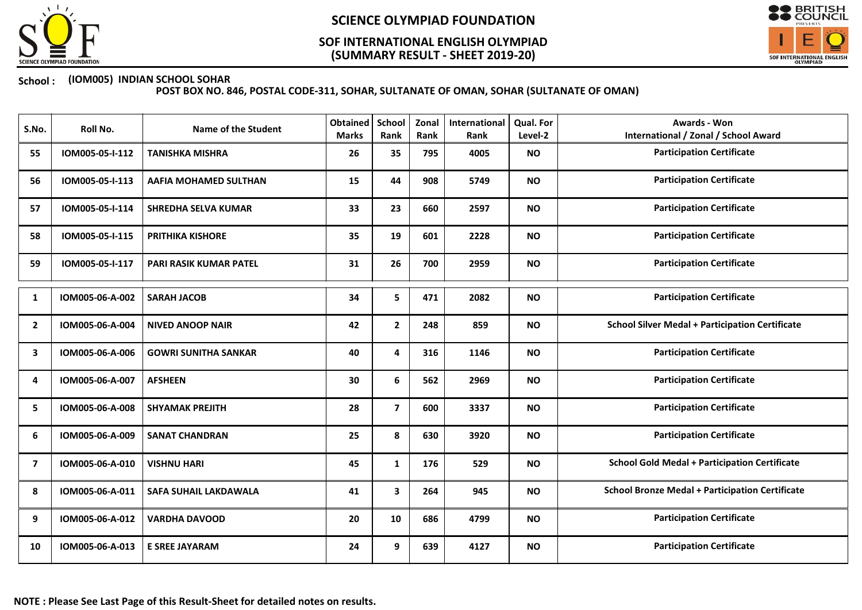

## (SUMMARY RESULT - SHEET 2019-20) SOF INTERNATIONAL ENGLISH OLYMPIAD



### School : (IOM005) INDIAN SCHOOL SOHAR

| S.No.          | Roll No.        | Name of the Student          | <b>Obtained</b><br><b>Marks</b> | School<br>Rank | Zonal<br>Rank | International<br>Rank | <b>Qual. For</b><br>Level-2 | Awards - Won<br><b>International / Zonal / School Award</b> |
|----------------|-----------------|------------------------------|---------------------------------|----------------|---------------|-----------------------|-----------------------------|-------------------------------------------------------------|
| 55             | IOM005-05-I-112 | <b>TANISHKA MISHRA</b>       | 26                              | 35             | 795           | 4005                  | <b>NO</b>                   | <b>Participation Certificate</b>                            |
| 56             | IOM005-05-I-113 | AAFIA MOHAMED SULTHAN        | 15                              | 44             | 908           | 5749                  | <b>NO</b>                   | <b>Participation Certificate</b>                            |
| 57             | IOM005-05-I-114 | <b>SHREDHA SELVA KUMAR</b>   | 33                              | 23             | 660           | 2597                  | <b>NO</b>                   | <b>Participation Certificate</b>                            |
| 58             | IOM005-05-I-115 | <b>PRITHIKA KISHORE</b>      | 35                              | 19             | 601           | 2228                  | <b>NO</b>                   | <b>Participation Certificate</b>                            |
| 59             | IOM005-05-I-117 | PARI RASIK KUMAR PATEL       | 31                              | 26             | 700           | 2959                  | <b>NO</b>                   | <b>Participation Certificate</b>                            |
| 1              | IOM005-06-A-002 | <b>SARAH JACOB</b>           | 34                              | 5              | 471           | 2082                  | <b>NO</b>                   | <b>Participation Certificate</b>                            |
| $\mathbf{2}$   | IOM005-06-A-004 | <b>NIVED ANOOP NAIR</b>      | 42                              | $\mathbf{2}$   | 248           | 859                   | <b>NO</b>                   | <b>School Silver Medal + Participation Certificate</b>      |
| 3              | IOM005-06-A-006 | <b>GOWRI SUNITHA SANKAR</b>  | 40                              | 4              | 316           | 1146                  | <b>NO</b>                   | <b>Participation Certificate</b>                            |
| 4              | IOM005-06-A-007 | <b>AFSHEEN</b>               | 30                              | 6              | 562           | 2969                  | <b>NO</b>                   | <b>Participation Certificate</b>                            |
| 5              | IOM005-06-A-008 | <b>SHYAMAK PREJITH</b>       | 28                              | $\overline{7}$ | 600           | 3337                  | <b>NO</b>                   | <b>Participation Certificate</b>                            |
| 6              | IOM005-06-A-009 | <b>SANAT CHANDRAN</b>        | 25                              | 8              | 630           | 3920                  | <b>NO</b>                   | <b>Participation Certificate</b>                            |
| $\overline{7}$ | IOM005-06-A-010 | <b>VISHNU HARI</b>           | 45                              | 1              | 176           | 529                   | <b>NO</b>                   | <b>School Gold Medal + Participation Certificate</b>        |
| 8              | IOM005-06-A-011 | <b>SAFA SUHAIL LAKDAWALA</b> | 41                              | 3              | 264           | 945                   | <b>NO</b>                   | <b>School Bronze Medal + Participation Certificate</b>      |
| 9              | IOM005-06-A-012 | <b>VARDHA DAVOOD</b>         | 20                              | 10             | 686           | 4799                  | <b>NO</b>                   | <b>Participation Certificate</b>                            |
| 10             | IOM005-06-A-013 | <b>E SREE JAYARAM</b>        | 24                              | 9              | 639           | 4127                  | <b>NO</b>                   | <b>Participation Certificate</b>                            |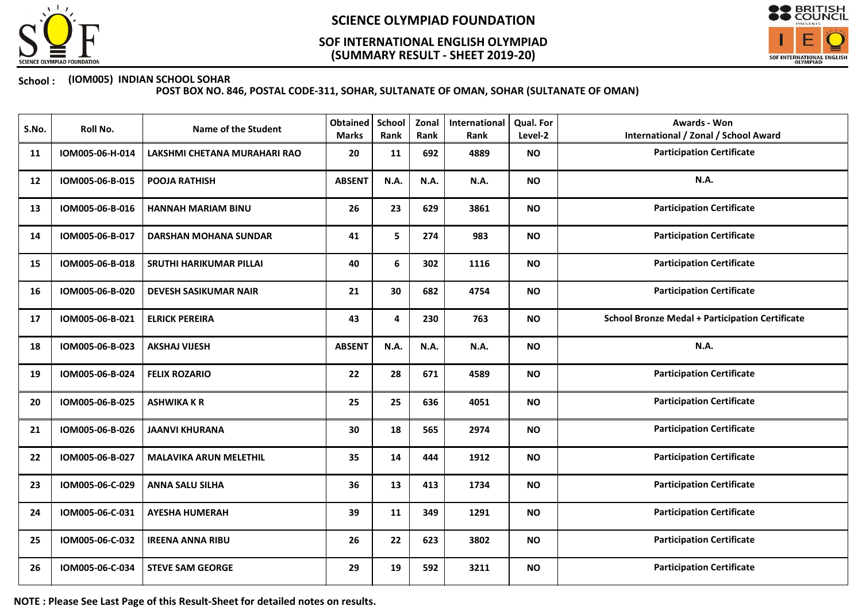

## (SUMMARY RESULT - SHEET 2019-20) SOF INTERNATIONAL ENGLISH OLYMPIAD



### School : (IOM005) INDIAN SCHOOL SOHAR

POST BOX NO. 846, POSTAL CODE-311, SOHAR, SULTANATE OF OMAN, SOHAR (SULTANATE OF OMAN)

| S.No. | Roll No.        | <b>Name of the Student</b>     | <b>Obtained</b><br><b>Marks</b> | <b>School</b><br>Rank | Zonal<br>Rank | International<br>Rank | Qual. For<br>Level-2 | <b>Awards - Won</b><br><b>International / Zonal / School Award</b> |
|-------|-----------------|--------------------------------|---------------------------------|-----------------------|---------------|-----------------------|----------------------|--------------------------------------------------------------------|
| 11    | IOM005-06-H-014 | LAKSHMI CHETANA MURAHARI RAO   | 20                              | 11                    | 692           | 4889                  | <b>NO</b>            | <b>Participation Certificate</b>                                   |
| 12    | IOM005-06-B-015 | <b>POOJA RATHISH</b>           | <b>ABSENT</b>                   | N.A.                  | N.A.          | N.A.                  | <b>NO</b>            | <b>N.A.</b>                                                        |
| 13    | IOM005-06-B-016 | <b>HANNAH MARIAM BINU</b>      | 26                              | 23                    | 629           | 3861                  | <b>NO</b>            | <b>Participation Certificate</b>                                   |
| 14    | IOM005-06-B-017 | <b>DARSHAN MOHANA SUNDAR</b>   | 41                              | 5                     | 274           | 983                   | <b>NO</b>            | <b>Participation Certificate</b>                                   |
| 15    | IOM005-06-B-018 | <b>SRUTHI HARIKUMAR PILLAI</b> | 40                              | 6                     | 302           | 1116                  | <b>NO</b>            | <b>Participation Certificate</b>                                   |
| 16    | IOM005-06-B-020 | <b>DEVESH SASIKUMAR NAIR</b>   | 21                              | 30                    | 682           | 4754                  | <b>NO</b>            | <b>Participation Certificate</b>                                   |
| 17    | IOM005-06-B-021 | <b>ELRICK PEREIRA</b>          | 43                              | 4                     | 230           | 763                   | <b>NO</b>            | <b>School Bronze Medal + Participation Certificate</b>             |
| 18    | IOM005-06-B-023 | <b>AKSHAJ VIJESH</b>           | <b>ABSENT</b>                   | N.A.                  | N.A.          | N.A.                  | <b>NO</b>            | N.A.                                                               |
| 19    | IOM005-06-B-024 | <b>FELIX ROZARIO</b>           | 22                              | 28                    | 671           | 4589                  | <b>NO</b>            | <b>Participation Certificate</b>                                   |
| 20    | IOM005-06-B-025 | <b>ASHWIKA K R</b>             | 25                              | 25                    | 636           | 4051                  | <b>NO</b>            | <b>Participation Certificate</b>                                   |
| 21    | IOM005-06-B-026 | <b>JAANVI KHURANA</b>          | 30                              | 18                    | 565           | 2974                  | <b>NO</b>            | <b>Participation Certificate</b>                                   |
| 22    | IOM005-06-B-027 | <b>MALAVIKA ARUN MELETHIL</b>  | 35                              | 14                    | 444           | 1912                  | <b>NO</b>            | <b>Participation Certificate</b>                                   |
| 23    | IOM005-06-C-029 | <b>ANNA SALU SILHA</b>         | 36                              | 13                    | 413           | 1734                  | <b>NO</b>            | <b>Participation Certificate</b>                                   |
| 24    | IOM005-06-C-031 | <b>AYESHA HUMERAH</b>          | 39                              | 11                    | 349           | 1291                  | <b>NO</b>            | <b>Participation Certificate</b>                                   |
| 25    | IOM005-06-C-032 | <b>IREENA ANNA RIBU</b>        | 26                              | 22                    | 623           | 3802                  | <b>NO</b>            | <b>Participation Certificate</b>                                   |
| 26    | IOM005-06-C-034 | <b>STEVE SAM GEORGE</b>        | 29                              | 19                    | 592           | 3211                  | <b>NO</b>            | <b>Participation Certificate</b>                                   |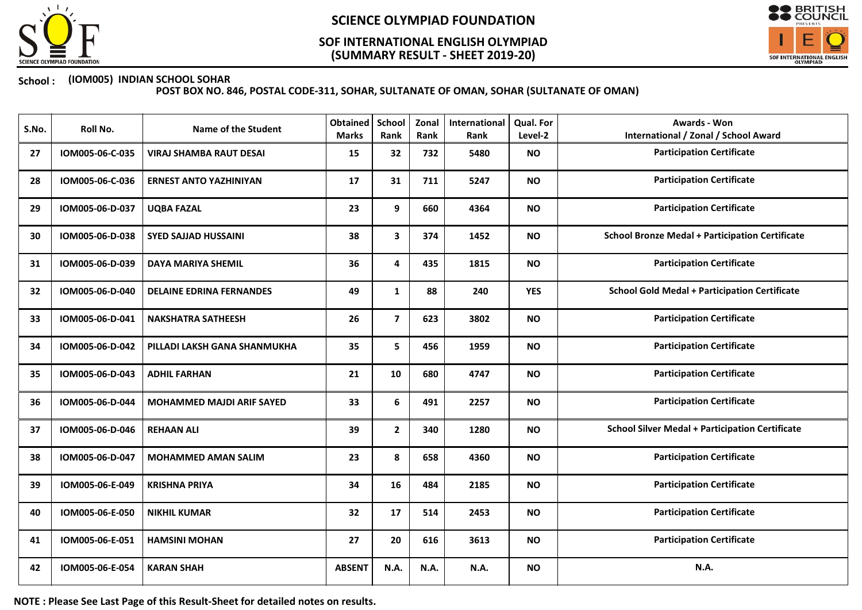

## (SUMMARY RESULT - SHEET 2019-20) SOF INTERNATIONAL ENGLISH OLYMPIAD



### School : (IOM005) INDIAN SCHOOL SOHAR

POST BOX NO. 846, POSTAL CODE-311, SOHAR, SULTANATE OF OMAN, SOHAR (SULTANATE OF OMAN)

| S.No. | Roll No.        | <b>Name of the Student</b>       | <b>Obtained</b><br><b>Marks</b> | School<br>Rank | Zonal<br>Rank | International<br><b>Rank</b> | Qual. For<br>Level-2 | <b>Awards - Won</b><br><b>International / Zonal / School Award</b> |
|-------|-----------------|----------------------------------|---------------------------------|----------------|---------------|------------------------------|----------------------|--------------------------------------------------------------------|
| 27    | IOM005-06-C-035 | <b>VIRAJ SHAMBA RAUT DESAI</b>   | 15                              | 32             | 732           | 5480                         | <b>NO</b>            | <b>Participation Certificate</b>                                   |
| 28    | IOM005-06-C-036 | <b>ERNEST ANTO YAZHINIYAN</b>    | 17                              | 31             | 711           | 5247                         | <b>NO</b>            | <b>Participation Certificate</b>                                   |
| 29    | IOM005-06-D-037 | <b>UQBA FAZAL</b>                | 23                              | 9              | 660           | 4364                         | <b>NO</b>            | <b>Participation Certificate</b>                                   |
| 30    | IOM005-06-D-038 | <b>SYED SAJJAD HUSSAINI</b>      | 38                              | $\mathbf{3}$   | 374           | 1452                         | <b>NO</b>            | <b>School Bronze Medal + Participation Certificate</b>             |
| 31    | IOM005-06-D-039 | <b>DAYA MARIYA SHEMIL</b>        | 36                              | 4              | 435           | 1815                         | <b>NO</b>            | <b>Participation Certificate</b>                                   |
| 32    | IOM005-06-D-040 | <b>DELAINE EDRINA FERNANDES</b>  | 49                              | $\mathbf{1}$   | 88            | 240                          | <b>YES</b>           | <b>School Gold Medal + Participation Certificate</b>               |
| 33    | IOM005-06-D-041 | <b>NAKSHATRA SATHEESH</b>        | 26                              | $\overline{7}$ | 623           | 3802                         | <b>NO</b>            | <b>Participation Certificate</b>                                   |
| 34    | IOM005-06-D-042 | PILLADI LAKSH GANA SHANMUKHA     | 35                              | 5              | 456           | 1959                         | <b>NO</b>            | <b>Participation Certificate</b>                                   |
| 35    | IOM005-06-D-043 | <b>ADHIL FARHAN</b>              | 21                              | 10             | 680           | 4747                         | <b>NO</b>            | <b>Participation Certificate</b>                                   |
| 36    | IOM005-06-D-044 | <b>MOHAMMED MAJDI ARIF SAYED</b> | 33                              | 6              | 491           | 2257                         | <b>NO</b>            | <b>Participation Certificate</b>                                   |
| 37    | IOM005-06-D-046 | <b>REHAAN ALI</b>                | 39                              | $\mathbf{2}$   | 340           | 1280                         | <b>NO</b>            | <b>School Silver Medal + Participation Certificate</b>             |
| 38    | IOM005-06-D-047 | <b>MOHAMMED AMAN SALIM</b>       | 23                              | 8              | 658           | 4360                         | <b>NO</b>            | <b>Participation Certificate</b>                                   |
| 39    | IOM005-06-E-049 | <b>KRISHNA PRIYA</b>             | 34                              | 16             | 484           | 2185                         | <b>NO</b>            | <b>Participation Certificate</b>                                   |
| 40    | IOM005-06-E-050 | <b>NIKHIL KUMAR</b>              | 32                              | 17             | 514           | 2453                         | <b>NO</b>            | <b>Participation Certificate</b>                                   |
| 41    | IOM005-06-E-051 | <b>HAMSINI MOHAN</b>             | 27                              | 20             | 616           | 3613                         | <b>NO</b>            | <b>Participation Certificate</b>                                   |
| 42    | IOM005-06-E-054 | <b>KARAN SHAH</b>                | <b>ABSENT</b>                   | N.A.           | N.A.          | N.A.                         | <b>NO</b>            | N.A.                                                               |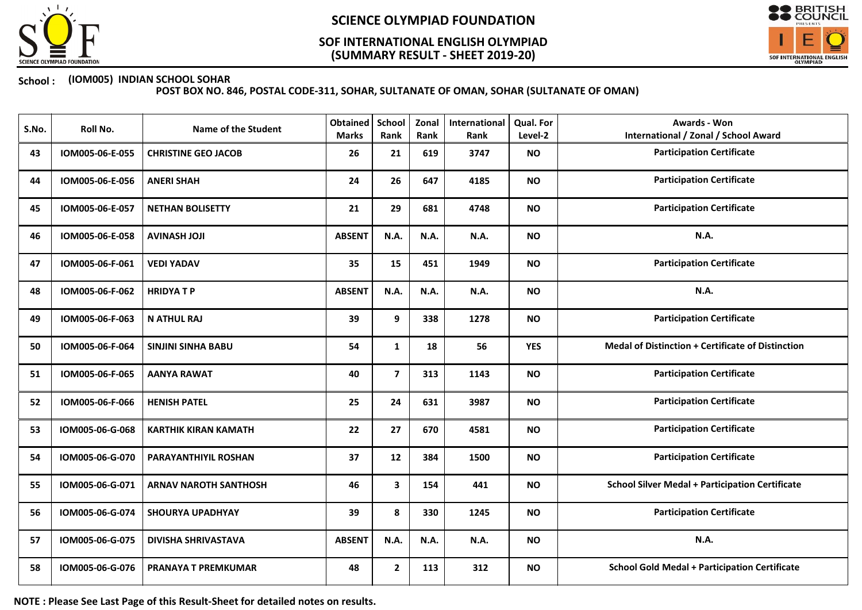

## (SUMMARY RESULT - SHEET 2019-20) SOF INTERNATIONAL ENGLISH OLYMPIAD



### School : (IOM005) INDIAN SCHOOL SOHAR

POST BOX NO. 846, POSTAL CODE-311, SOHAR, SULTANATE OF OMAN, SOHAR (SULTANATE OF OMAN)

| S.No. | Roll No.        | <b>Name of the Student</b>   | <b>Obtained</b><br><b>Marks</b> | School<br>Rank | Zonal<br>Rank | International<br>Rank | Qual. For<br>Level-2 | <b>Awards - Won</b><br><b>International / Zonal / School Award</b> |
|-------|-----------------|------------------------------|---------------------------------|----------------|---------------|-----------------------|----------------------|--------------------------------------------------------------------|
| 43    | IOM005-06-E-055 | <b>CHRISTINE GEO JACOB</b>   | 26                              | 21             | 619           | 3747                  | <b>NO</b>            | <b>Participation Certificate</b>                                   |
| 44    | IOM005-06-E-056 | <b>ANERI SHAH</b>            | 24                              | 26             | 647           | 4185                  | <b>NO</b>            | <b>Participation Certificate</b>                                   |
| 45    | IOM005-06-E-057 | <b>NETHAN BOLISETTY</b>      | 21                              | 29             | 681           | 4748                  | <b>NO</b>            | <b>Participation Certificate</b>                                   |
| 46    | IOM005-06-E-058 | <b>AVINASH JOJI</b>          | <b>ABSENT</b>                   | N.A.           | N.A.          | N.A.                  | <b>NO</b>            | N.A.                                                               |
| 47    | IOM005-06-F-061 | <b>VEDI YADAV</b>            | 35                              | 15             | 451           | 1949                  | <b>NO</b>            | <b>Participation Certificate</b>                                   |
| 48    | IOM005-06-F-062 | <b>HRIDYATP</b>              | <b>ABSENT</b>                   | N.A.           | N.A.          | N.A.                  | <b>NO</b>            | N.A.                                                               |
| 49    | IOM005-06-F-063 | <b>N ATHUL RAJ</b>           | 39                              | 9              | 338           | 1278                  | <b>NO</b>            | <b>Participation Certificate</b>                                   |
| 50    | IOM005-06-F-064 | <b>SINJINI SINHA BABU</b>    | 54                              | $\mathbf{1}$   | 18            | 56                    | <b>YES</b>           | <b>Medal of Distinction + Certificate of Distinction</b>           |
| 51    | IOM005-06-F-065 | <b>AANYA RAWAT</b>           | 40                              | $\overline{7}$ | 313           | 1143                  | <b>NO</b>            | <b>Participation Certificate</b>                                   |
| 52    | IOM005-06-F-066 | <b>HENISH PATEL</b>          | 25                              | 24             | 631           | 3987                  | <b>NO</b>            | <b>Participation Certificate</b>                                   |
| 53    | IOM005-06-G-068 | <b>KARTHIK KIRAN KAMATH</b>  | 22                              | 27             | 670           | 4581                  | <b>NO</b>            | <b>Participation Certificate</b>                                   |
| 54    | IOM005-06-G-070 | PARAYANTHIYIL ROSHAN         | 37                              | 12             | 384           | 1500                  | <b>NO</b>            | <b>Participation Certificate</b>                                   |
| 55    | IOM005-06-G-071 | <b>ARNAV NAROTH SANTHOSH</b> | 46                              | 3              | 154           | 441                   | <b>NO</b>            | <b>School Silver Medal + Participation Certificate</b>             |
| 56    | IOM005-06-G-074 | <b>SHOURYA UPADHYAY</b>      | 39                              | 8              | 330           | 1245                  | <b>NO</b>            | <b>Participation Certificate</b>                                   |
| 57    | IOM005-06-G-075 | <b>DIVISHA SHRIVASTAVA</b>   | <b>ABSENT</b>                   | <b>N.A.</b>    | N.A.          | N.A.                  | <b>NO</b>            | <b>N.A.</b>                                                        |
| 58    | IOM005-06-G-076 | PRANAYA T PREMKUMAR          | 48                              | $\mathbf{2}$   | 113           | 312                   | <b>NO</b>            | <b>School Gold Medal + Participation Certificate</b>               |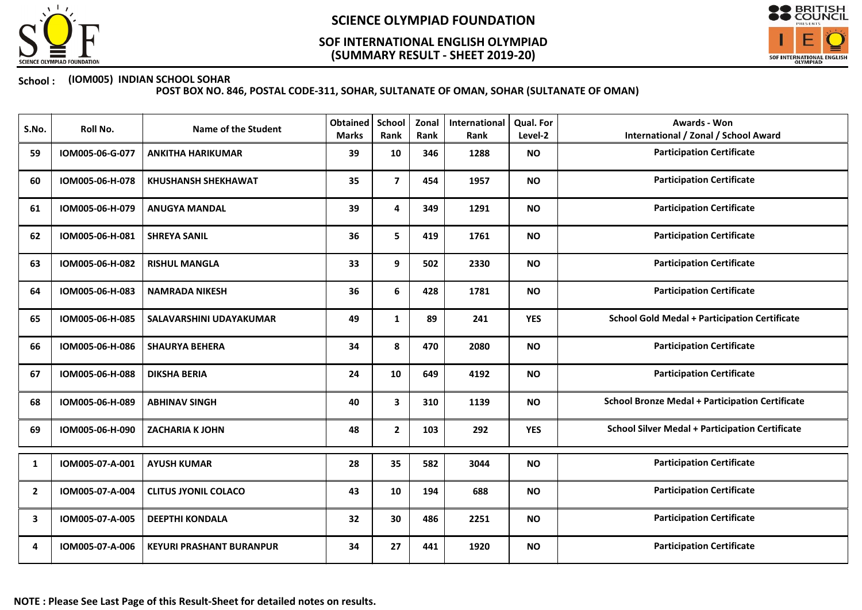

## (SUMMARY RESULT - SHEET 2019-20) SOF INTERNATIONAL ENGLISH OLYMPIAD



### School : (IOM005) INDIAN SCHOOL SOHAR

| S.No.          | Roll No.        | <b>Name of the Student</b>      | <b>Obtained</b><br><b>Marks</b> | School<br>Rank | Zonal<br>Rank | International<br>Rank | <b>Qual. For</b><br>Level-2 | Awards - Won<br><b>International / Zonal / School Award</b> |
|----------------|-----------------|---------------------------------|---------------------------------|----------------|---------------|-----------------------|-----------------------------|-------------------------------------------------------------|
| 59             | IOM005-06-G-077 | <b>ANKITHA HARIKUMAR</b>        | 39                              | 10             | 346           | 1288                  | <b>NO</b>                   | <b>Participation Certificate</b>                            |
| 60             | IOM005-06-H-078 | <b>KHUSHANSH SHEKHAWAT</b>      | 35                              | $\overline{7}$ | 454           | 1957                  | <b>NO</b>                   | <b>Participation Certificate</b>                            |
| 61             | IOM005-06-H-079 | <b>ANUGYA MANDAL</b>            | 39                              | 4              | 349           | 1291                  | <b>NO</b>                   | <b>Participation Certificate</b>                            |
| 62             | IOM005-06-H-081 | <b>SHREYA SANIL</b>             | 36                              | 5              | 419           | 1761                  | <b>NO</b>                   | <b>Participation Certificate</b>                            |
| 63             | IOM005-06-H-082 | <b>RISHUL MANGLA</b>            | 33                              | 9              | 502           | 2330                  | <b>NO</b>                   | <b>Participation Certificate</b>                            |
| 64             | IOM005-06-H-083 | <b>NAMRADA NIKESH</b>           | 36                              | 6              | 428           | 1781                  | <b>NO</b>                   | <b>Participation Certificate</b>                            |
| 65             | IOM005-06-H-085 | SALAVARSHINI UDAYAKUMAR         | 49                              | 1              | 89            | 241                   | <b>YES</b>                  | <b>School Gold Medal + Participation Certificate</b>        |
| 66             | IOM005-06-H-086 | <b>SHAURYA BEHERA</b>           | 34                              | 8              | 470           | 2080                  | <b>NO</b>                   | <b>Participation Certificate</b>                            |
| 67             | IOM005-06-H-088 | <b>DIKSHA BERIA</b>             | 24                              | 10             | 649           | 4192                  | <b>NO</b>                   | <b>Participation Certificate</b>                            |
| 68             | IOM005-06-H-089 | <b>ABHINAV SINGH</b>            | 40                              | 3              | 310           | 1139                  | <b>NO</b>                   | <b>School Bronze Medal + Participation Certificate</b>      |
| 69             | IOM005-06-H-090 | <b>ZACHARIA K JOHN</b>          | 48                              | $\mathbf{2}$   | 103           | 292                   | <b>YES</b>                  | <b>School Silver Medal + Participation Certificate</b>      |
| 1              | IOM005-07-A-001 | <b>AYUSH KUMAR</b>              | 28                              | 35             | 582           | 3044                  | <b>NO</b>                   | <b>Participation Certificate</b>                            |
| $\overline{2}$ | IOM005-07-A-004 | <b>CLITUS JYONIL COLACO</b>     | 43                              | 10             | 194           | 688                   | <b>NO</b>                   | <b>Participation Certificate</b>                            |
| 3              | IOM005-07-A-005 | <b>DEEPTHI KONDALA</b>          | 32                              | 30             | 486           | 2251                  | <b>NO</b>                   | <b>Participation Certificate</b>                            |
| 4              | IOM005-07-A-006 | <b>KEYURI PRASHANT BURANPUR</b> | 34                              | 27             | 441           | 1920                  | <b>NO</b>                   | <b>Participation Certificate</b>                            |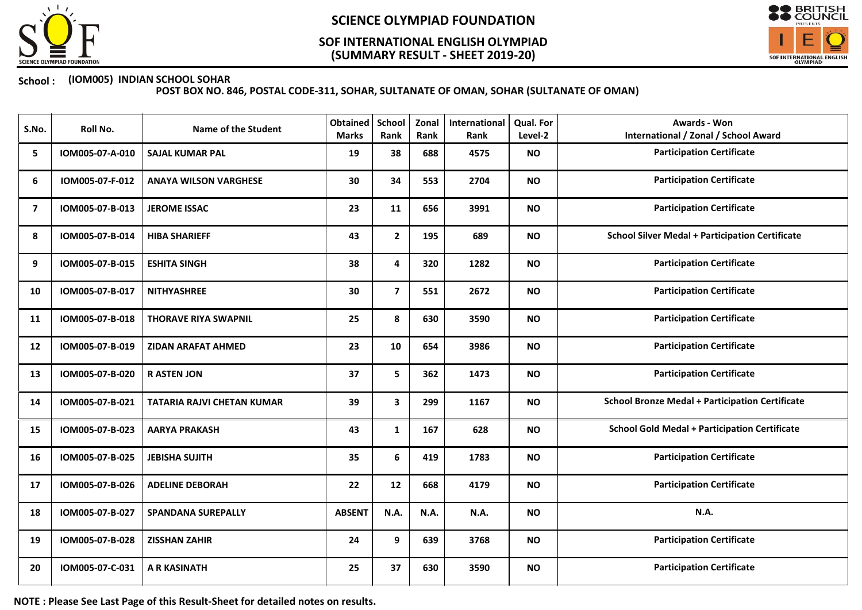

## (SUMMARY RESULT - SHEET 2019-20) SOF INTERNATIONAL ENGLISH OLYMPIAD



### School : (IOM005) INDIAN SCHOOL SOHAR

POST BOX NO. 846, POSTAL CODE-311, SOHAR, SULTANATE OF OMAN, SOHAR (SULTANATE OF OMAN)

| S.No.          | Roll No.        | <b>Name of the Student</b>        | <b>Obtained</b><br><b>Marks</b> | School<br>Rank          | Zonal<br>Rank | International<br>Rank | <b>Qual. For</b><br>Level-2 | Awards - Won<br><b>International / Zonal / School Award</b> |
|----------------|-----------------|-----------------------------------|---------------------------------|-------------------------|---------------|-----------------------|-----------------------------|-------------------------------------------------------------|
| 5              | IOM005-07-A-010 | <b>SAJAL KUMAR PAL</b>            | 19                              | 38                      | 688           | 4575                  | <b>NO</b>                   | <b>Participation Certificate</b>                            |
| 6              | IOM005-07-F-012 | <b>ANAYA WILSON VARGHESE</b>      | 30                              | 34                      | 553           | 2704                  | <b>NO</b>                   | <b>Participation Certificate</b>                            |
| $\overline{7}$ | IOM005-07-B-013 | <b>JEROME ISSAC</b>               | 23                              | 11                      | 656           | 3991                  | <b>NO</b>                   | <b>Participation Certificate</b>                            |
| 8              | IOM005-07-B-014 | <b>HIBA SHARIEFF</b>              | 43                              | $\mathbf{2}$            | 195           | 689                   | <b>NO</b>                   | <b>School Silver Medal + Participation Certificate</b>      |
| 9              | IOM005-07-B-015 | <b>ESHITA SINGH</b>               | 38                              | 4                       | 320           | 1282                  | <b>NO</b>                   | <b>Participation Certificate</b>                            |
| 10             | IOM005-07-B-017 | <b>NITHYASHREE</b>                | 30                              | $\overline{\mathbf{z}}$ | 551           | 2672                  | <b>NO</b>                   | <b>Participation Certificate</b>                            |
| 11             | IOM005-07-B-018 | <b>THORAVE RIYA SWAPNIL</b>       | 25                              | 8                       | 630           | 3590                  | <b>NO</b>                   | <b>Participation Certificate</b>                            |
| 12             | IOM005-07-B-019 | <b>ZIDAN ARAFAT AHMED</b>         | 23                              | 10                      | 654           | 3986                  | <b>NO</b>                   | <b>Participation Certificate</b>                            |
| 13             | IOM005-07-B-020 | <b>RASTEN JON</b>                 | 37                              | 5                       | 362           | 1473                  | <b>NO</b>                   | <b>Participation Certificate</b>                            |
| 14             | IOM005-07-B-021 | <b>TATARIA RAJVI CHETAN KUMAR</b> | 39                              | 3                       | 299           | 1167                  | <b>NO</b>                   | <b>School Bronze Medal + Participation Certificate</b>      |
| 15             | IOM005-07-B-023 | <b>AARYA PRAKASH</b>              | 43                              | 1                       | 167           | 628                   | <b>NO</b>                   | <b>School Gold Medal + Participation Certificate</b>        |
| 16             | IOM005-07-B-025 | <b>JEBISHA SUJITH</b>             | 35                              | 6                       | 419           | 1783                  | <b>NO</b>                   | <b>Participation Certificate</b>                            |
| 17             | IOM005-07-B-026 | <b>ADELINE DEBORAH</b>            | 22                              | 12                      | 668           | 4179                  | <b>NO</b>                   | <b>Participation Certificate</b>                            |
| 18             | IOM005-07-B-027 | <b>SPANDANA SUREPALLY</b>         | <b>ABSENT</b>                   | N.A.                    | N.A.          | N.A.                  | <b>NO</b>                   | N.A.                                                        |
| 19             | IOM005-07-B-028 | <b>ZISSHAN ZAHIR</b>              | 24                              | 9                       | 639           | 3768                  | <b>NO</b>                   | <b>Participation Certificate</b>                            |
| 20             | IOM005-07-C-031 | <b>A R KASINATH</b>               | 25                              | 37                      | 630           | 3590                  | <b>NO</b>                   | <b>Participation Certificate</b>                            |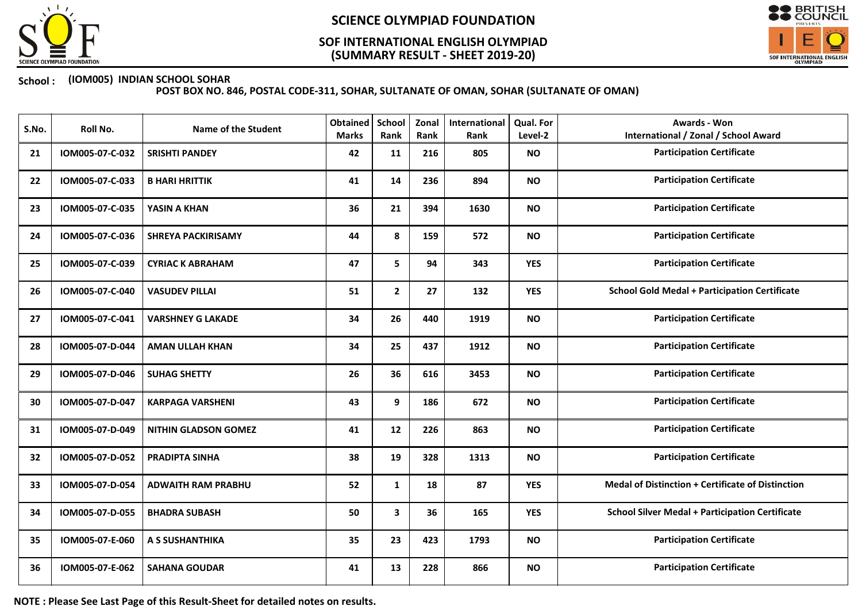

## (SUMMARY RESULT - SHEET 2019-20) SOF INTERNATIONAL ENGLISH OLYMPIAD



### School : (IOM005) INDIAN SCHOOL SOHAR

POST BOX NO. 846, POSTAL CODE-311, SOHAR, SULTANATE OF OMAN, SOHAR (SULTANATE OF OMAN)

| S.No. | Roll No.        | <b>Name of the Student</b>  | <b>Obtained</b><br><b>Marks</b> | School<br>Rank | Zonal<br>Rank | International<br>Rank | Qual. For<br>Level-2 | <b>Awards - Won</b><br><b>International / Zonal / School Award</b> |
|-------|-----------------|-----------------------------|---------------------------------|----------------|---------------|-----------------------|----------------------|--------------------------------------------------------------------|
| 21    | IOM005-07-C-032 | <b>SRISHTI PANDEY</b>       | 42                              | 11             | 216           | 805                   | <b>NO</b>            | <b>Participation Certificate</b>                                   |
| 22    | IOM005-07-C-033 | <b>B HARI HRITTIK</b>       | 41                              | 14             | 236           | 894                   | <b>NO</b>            | <b>Participation Certificate</b>                                   |
| 23    | IOM005-07-C-035 | YASIN A KHAN                | 36                              | 21             | 394           | 1630                  | <b>NO</b>            | <b>Participation Certificate</b>                                   |
| 24    | IOM005-07-C-036 | <b>SHREYA PACKIRISAMY</b>   | 44                              | 8              | 159           | 572                   | <b>NO</b>            | <b>Participation Certificate</b>                                   |
| 25    | IOM005-07-C-039 | <b>CYRIAC K ABRAHAM</b>     | 47                              | 5              | 94            | 343                   | <b>YES</b>           | <b>Participation Certificate</b>                                   |
| 26    | IOM005-07-C-040 | <b>VASUDEV PILLAI</b>       | 51                              | $\mathbf{2}$   | 27            | 132                   | <b>YES</b>           | <b>School Gold Medal + Participation Certificate</b>               |
| 27    | IOM005-07-C-041 | <b>VARSHNEY G LAKADE</b>    | 34                              | 26             | 440           | 1919                  | <b>NO</b>            | <b>Participation Certificate</b>                                   |
| 28    | IOM005-07-D-044 | <b>AMAN ULLAH KHAN</b>      | 34                              | 25             | 437           | 1912                  | <b>NO</b>            | <b>Participation Certificate</b>                                   |
| 29    | IOM005-07-D-046 | <b>SUHAG SHETTY</b>         | 26                              | 36             | 616           | 3453                  | <b>NO</b>            | <b>Participation Certificate</b>                                   |
| 30    | IOM005-07-D-047 | <b>KARPAGA VARSHENI</b>     | 43                              | 9              | 186           | 672                   | <b>NO</b>            | <b>Participation Certificate</b>                                   |
| 31    | IOM005-07-D-049 | <b>NITHIN GLADSON GOMEZ</b> | 41                              | 12             | 226           | 863                   | <b>NO</b>            | <b>Participation Certificate</b>                                   |
| 32    | IOM005-07-D-052 | <b>PRADIPTA SINHA</b>       | 38                              | 19             | 328           | 1313                  | <b>NO</b>            | <b>Participation Certificate</b>                                   |
| 33    | IOM005-07-D-054 | <b>ADWAITH RAM PRABHU</b>   | 52                              | $\mathbf{1}$   | 18            | 87                    | <b>YES</b>           | <b>Medal of Distinction + Certificate of Distinction</b>           |
| 34    | IOM005-07-D-055 | <b>BHADRA SUBASH</b>        | 50                              | 3              | 36            | 165                   | <b>YES</b>           | <b>School Silver Medal + Participation Certificate</b>             |
| 35    | IOM005-07-E-060 | A S SUSHANTHIKA             | 35                              | 23             | 423           | 1793                  | <b>NO</b>            | <b>Participation Certificate</b>                                   |
| 36    | IOM005-07-E-062 | <b>SAHANA GOUDAR</b>        | 41                              | 13             | 228           | 866                   | <b>NO</b>            | <b>Participation Certificate</b>                                   |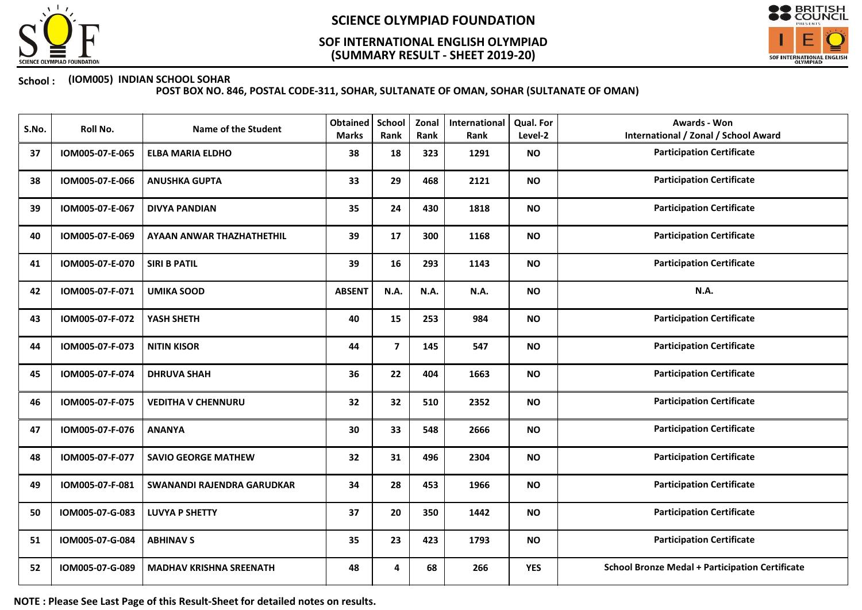

## (SUMMARY RESULT - SHEET 2019-20) SOF INTERNATIONAL ENGLISH OLYMPIAD



### School : (IOM005) INDIAN SCHOOL SOHAR

POST BOX NO. 846, POSTAL CODE-311, SOHAR, SULTANATE OF OMAN, SOHAR (SULTANATE OF OMAN)

| S.No. | Roll No.        | <b>Name of the Student</b>     | <b>Obtained</b><br><b>Marks</b> | <b>School</b><br>Rank | Zonal<br>Rank | International<br>Rank | Qual. For<br>Level-2 | <b>Awards - Won</b><br><b>International / Zonal / School Award</b> |
|-------|-----------------|--------------------------------|---------------------------------|-----------------------|---------------|-----------------------|----------------------|--------------------------------------------------------------------|
| 37    | IOM005-07-E-065 | <b>ELBA MARIA ELDHO</b>        | 38                              | 18                    | 323           | 1291                  | <b>NO</b>            | <b>Participation Certificate</b>                                   |
| 38    | IOM005-07-E-066 | <b>ANUSHKA GUPTA</b>           | 33                              | 29                    | 468           | 2121                  | <b>NO</b>            | <b>Participation Certificate</b>                                   |
| 39    | IOM005-07-E-067 | <b>DIVYA PANDIAN</b>           | 35                              | 24                    | 430           | 1818                  | <b>NO</b>            | <b>Participation Certificate</b>                                   |
| 40    | IOM005-07-E-069 | AYAAN ANWAR THAZHATHETHIL      | 39                              | 17                    | 300           | 1168                  | <b>NO</b>            | <b>Participation Certificate</b>                                   |
| 41    | IOM005-07-E-070 | <b>SIRI B PATIL</b>            | 39                              | 16                    | 293           | 1143                  | <b>NO</b>            | <b>Participation Certificate</b>                                   |
| 42    | IOM005-07-F-071 | <b>UMIKA SOOD</b>              | <b>ABSENT</b>                   | N.A.                  | N.A.          | N.A.                  | <b>NO</b>            | N.A.                                                               |
| 43    | IOM005-07-F-072 | YASH SHETH                     | 40                              | 15                    | 253           | 984                   | <b>NO</b>            | <b>Participation Certificate</b>                                   |
| 44    | IOM005-07-F-073 | <b>NITIN KISOR</b>             | 44                              | $\overline{7}$        | 145           | 547                   | <b>NO</b>            | <b>Participation Certificate</b>                                   |
| 45    | IOM005-07-F-074 | <b>DHRUVA SHAH</b>             | 36                              | 22                    | 404           | 1663                  | <b>NO</b>            | <b>Participation Certificate</b>                                   |
| 46    | IOM005-07-F-075 | <b>VEDITHA V CHENNURU</b>      | 32                              | 32                    | 510           | 2352                  | <b>NO</b>            | <b>Participation Certificate</b>                                   |
| 47    | IOM005-07-F-076 | <b>ANANYA</b>                  | 30                              | 33                    | 548           | 2666                  | <b>NO</b>            | <b>Participation Certificate</b>                                   |
| 48    | IOM005-07-F-077 | <b>SAVIO GEORGE MATHEW</b>     | 32                              | 31                    | 496           | 2304                  | <b>NO</b>            | <b>Participation Certificate</b>                                   |
| 49    | IOM005-07-F-081 | SWANANDI RAJENDRA GARUDKAR     | 34                              | 28                    | 453           | 1966                  | <b>NO</b>            | <b>Participation Certificate</b>                                   |
| 50    | IOM005-07-G-083 | <b>LUVYA P SHETTY</b>          | 37                              | 20                    | 350           | 1442                  | <b>NO</b>            | <b>Participation Certificate</b>                                   |
| 51    | IOM005-07-G-084 | <b>ABHINAV S</b>               | 35                              | 23                    | 423           | 1793                  | <b>NO</b>            | <b>Participation Certificate</b>                                   |
| 52    | IOM005-07-G-089 | <b>MADHAV KRISHNA SREENATH</b> | 48                              | 4                     | 68            | 266                   | <b>YES</b>           | <b>School Bronze Medal + Participation Certificate</b>             |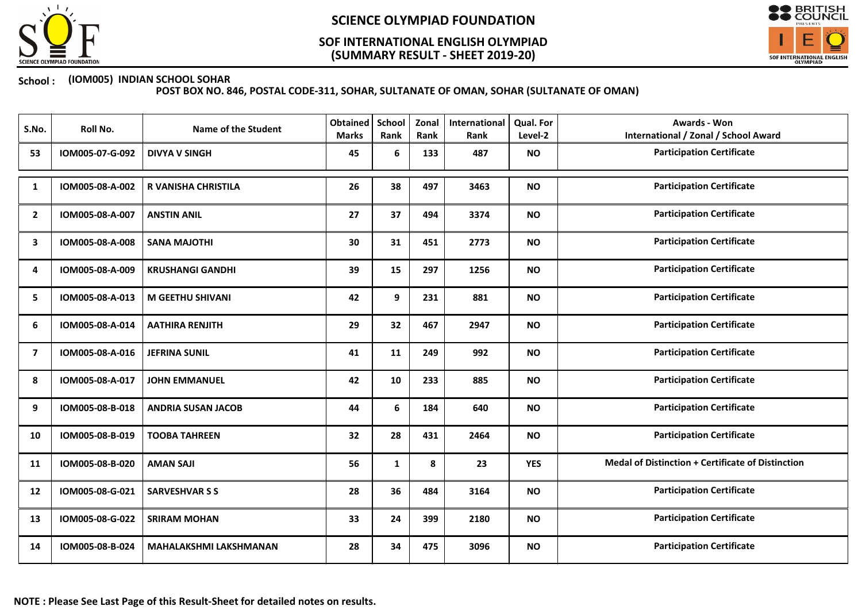

## (SUMMARY RESULT - SHEET 2019-20) SOF INTERNATIONAL ENGLISH OLYMPIAD



### School : (IOM005) INDIAN SCHOOL SOHAR

| S.No.          | Roll No.        | Name of the Student           | <b>Obtained</b><br><b>Marks</b> | <b>School</b><br>Rank | Zonal<br>Rank | International<br>Rank | Qual. For<br>Level-2 | <b>Awards - Won</b><br><b>International / Zonal / School Award</b> |
|----------------|-----------------|-------------------------------|---------------------------------|-----------------------|---------------|-----------------------|----------------------|--------------------------------------------------------------------|
| 53             | IOM005-07-G-092 | <b>DIVYA V SINGH</b>          | 45                              | 6                     | 133           | 487                   | <b>NO</b>            | <b>Participation Certificate</b>                                   |
| 1              | IOM005-08-A-002 | <b>R VANISHA CHRISTILA</b>    | 26                              | 38                    | 497           | 3463                  | <b>NO</b>            | <b>Participation Certificate</b>                                   |
| $\overline{2}$ | IOM005-08-A-007 | <b>ANSTIN ANIL</b>            | 27                              | 37                    | 494           | 3374                  | <b>NO</b>            | <b>Participation Certificate</b>                                   |
| 3              | IOM005-08-A-008 | <b>SANA MAJOTHI</b>           | 30                              | 31                    | 451           | 2773                  | <b>NO</b>            | <b>Participation Certificate</b>                                   |
| 4              | IOM005-08-A-009 | <b>KRUSHANGI GANDHI</b>       | 39                              | 15                    | 297           | 1256                  | <b>NO</b>            | <b>Participation Certificate</b>                                   |
| 5              | IOM005-08-A-013 | <b>M GEETHU SHIVANI</b>       | 42                              | 9                     | 231           | 881                   | <b>NO</b>            | <b>Participation Certificate</b>                                   |
| 6              | IOM005-08-A-014 | <b>AATHIRA RENJITH</b>        | 29                              | 32                    | 467           | 2947                  | <b>NO</b>            | <b>Participation Certificate</b>                                   |
| $\overline{7}$ | IOM005-08-A-016 | <b>JEFRINA SUNIL</b>          | 41                              | 11                    | 249           | 992                   | <b>NO</b>            | <b>Participation Certificate</b>                                   |
| 8              | IOM005-08-A-017 | <b>JOHN EMMANUEL</b>          | 42                              | 10                    | 233           | 885                   | <b>NO</b>            | <b>Participation Certificate</b>                                   |
| 9              | IOM005-08-B-018 | <b>ANDRIA SUSAN JACOB</b>     | 44                              | 6                     | 184           | 640                   | <b>NO</b>            | <b>Participation Certificate</b>                                   |
| 10             | IOM005-08-B-019 | <b>TOOBA TAHREEN</b>          | 32                              | 28                    | 431           | 2464                  | <b>NO</b>            | <b>Participation Certificate</b>                                   |
| 11             | IOM005-08-B-020 | <b>AMAN SAJI</b>              | 56                              | 1                     | 8             | 23                    | <b>YES</b>           | <b>Medal of Distinction + Certificate of Distinction</b>           |
| 12             | IOM005-08-G-021 | <b>SARVESHVAR S S</b>         | 28                              | 36                    | 484           | 3164                  | <b>NO</b>            | <b>Participation Certificate</b>                                   |
| 13             | IOM005-08-G-022 | <b>SRIRAM MOHAN</b>           | 33                              | 24                    | 399           | 2180                  | <b>NO</b>            | <b>Participation Certificate</b>                                   |
| 14             | IOM005-08-B-024 | <b>MAHALAKSHMI LAKSHMANAN</b> | 28                              | 34                    | 475           | 3096                  | <b>NO</b>            | <b>Participation Certificate</b>                                   |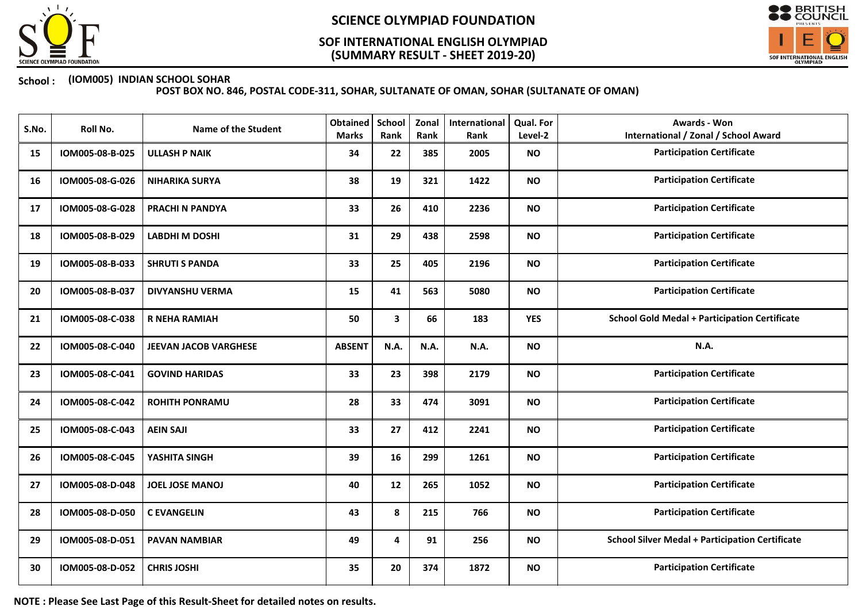

## (SUMMARY RESULT - SHEET 2019-20) SOF INTERNATIONAL ENGLISH OLYMPIAD



### School : (IOM005) INDIAN SCHOOL SOHAR

POST BOX NO. 846, POSTAL CODE-311, SOHAR, SULTANATE OF OMAN, SOHAR (SULTANATE OF OMAN)

| S.No. | Roll No.        | <b>Name of the Student</b> | <b>Obtained</b><br><b>Marks</b> | School<br>Rank | Zonal<br>Rank | International<br>Rank | Qual. For<br>Level-2 | <b>Awards - Won</b><br><b>International / Zonal / School Award</b> |
|-------|-----------------|----------------------------|---------------------------------|----------------|---------------|-----------------------|----------------------|--------------------------------------------------------------------|
| 15    | IOM005-08-B-025 | <b>ULLASH P NAIK</b>       | 34                              | 22             | 385           | 2005                  | <b>NO</b>            | <b>Participation Certificate</b>                                   |
| 16    | IOM005-08-G-026 | <b>NIHARIKA SURYA</b>      | 38                              | 19             | 321           | 1422                  | <b>NO</b>            | <b>Participation Certificate</b>                                   |
| 17    | IOM005-08-G-028 | PRACHI N PANDYA            | 33                              | 26             | 410           | 2236                  | <b>NO</b>            | <b>Participation Certificate</b>                                   |
| 18    | IOM005-08-B-029 | <b>LABDHI M DOSHI</b>      | 31                              | 29             | 438           | 2598                  | <b>NO</b>            | <b>Participation Certificate</b>                                   |
| 19    | IOM005-08-B-033 | <b>SHRUTI S PANDA</b>      | 33                              | 25             | 405           | 2196                  | <b>NO</b>            | <b>Participation Certificate</b>                                   |
| 20    | IOM005-08-B-037 | <b>DIVYANSHU VERMA</b>     | 15                              | 41             | 563           | 5080                  | <b>NO</b>            | <b>Participation Certificate</b>                                   |
| 21    | IOM005-08-C-038 | <b>R NEHA RAMIAH</b>       | 50                              | 3              | 66            | 183                   | <b>YES</b>           | <b>School Gold Medal + Participation Certificate</b>               |
| 22    | IOM005-08-C-040 | JEEVAN JACOB VARGHESE      | <b>ABSENT</b>                   | N.A.           | N.A.          | N.A.                  | <b>NO</b>            | N.A.                                                               |
| 23    | IOM005-08-C-041 | <b>GOVIND HARIDAS</b>      | 33                              | 23             | 398           | 2179                  | <b>NO</b>            | <b>Participation Certificate</b>                                   |
| 24    | IOM005-08-C-042 | <b>ROHITH PONRAMU</b>      | 28                              | 33             | 474           | 3091                  | <b>NO</b>            | <b>Participation Certificate</b>                                   |
| 25    | IOM005-08-C-043 | <b>AEIN SAJI</b>           | 33                              | 27             | 412           | 2241                  | <b>NO</b>            | <b>Participation Certificate</b>                                   |
| 26    | IOM005-08-C-045 | YASHITA SINGH              | 39                              | 16             | 299           | 1261                  | <b>NO</b>            | <b>Participation Certificate</b>                                   |
| 27    | IOM005-08-D-048 | <b>JOEL JOSE MANOJ</b>     | 40                              | 12             | 265           | 1052                  | <b>NO</b>            | <b>Participation Certificate</b>                                   |
| 28    | IOM005-08-D-050 | <b>C EVANGELIN</b>         | 43                              | 8              | 215           | 766                   | <b>NO</b>            | <b>Participation Certificate</b>                                   |
| 29    | IOM005-08-D-051 | <b>PAVAN NAMBIAR</b>       | 49                              | 4              | 91            | 256                   | <b>NO</b>            | <b>School Silver Medal + Participation Certificate</b>             |
| 30    | IOM005-08-D-052 | <b>CHRIS JOSHI</b>         | 35                              | 20             | 374           | 1872                  | <b>NO</b>            | <b>Participation Certificate</b>                                   |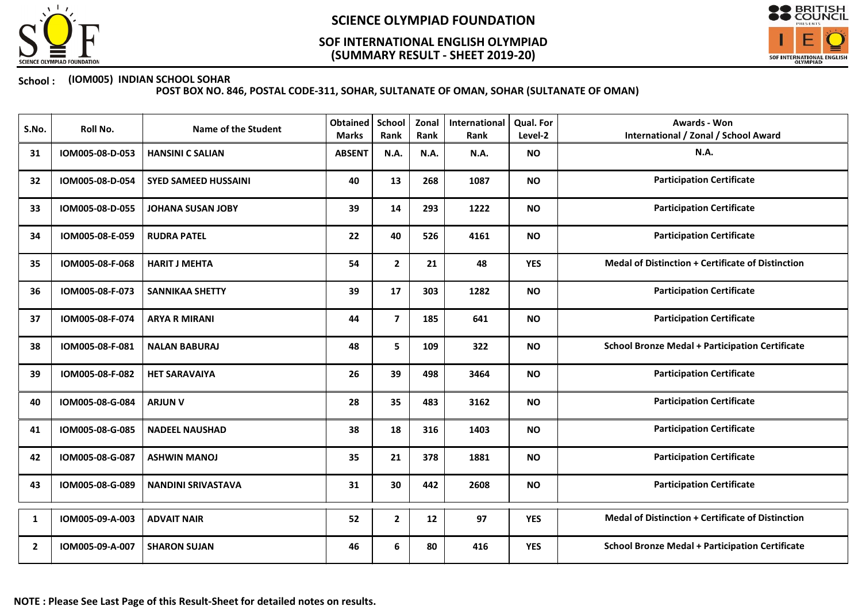

## (SUMMARY RESULT - SHEET 2019-20) SOF INTERNATIONAL ENGLISH OLYMPIAD



### School : (IOM005) INDIAN SCHOOL SOHAR

| S.No.          | Roll No.        | <b>Name of the Student</b>  | Obtained<br><b>Marks</b> | School<br>Rank | Zonal<br>Rank | International<br>Rank | <b>Qual. For</b><br>Level-2 | <b>Awards - Won</b><br><b>International / Zonal / School Award</b> |
|----------------|-----------------|-----------------------------|--------------------------|----------------|---------------|-----------------------|-----------------------------|--------------------------------------------------------------------|
| 31             | IOM005-08-D-053 | <b>HANSINI C SALIAN</b>     | <b>ABSENT</b>            | N.A.           | N.A.          | N.A.                  | <b>NO</b>                   | N.A.                                                               |
| 32             | IOM005-08-D-054 | <b>SYED SAMEED HUSSAINI</b> | 40                       | 13             | 268           | 1087                  | <b>NO</b>                   | <b>Participation Certificate</b>                                   |
| 33             | IOM005-08-D-055 | <b>JOHANA SUSAN JOBY</b>    | 39                       | 14             | 293           | 1222                  | <b>NO</b>                   | <b>Participation Certificate</b>                                   |
| 34             | IOM005-08-E-059 | <b>RUDRA PATEL</b>          | 22                       | 40             | 526           | 4161                  | <b>NO</b>                   | <b>Participation Certificate</b>                                   |
| 35             | IOM005-08-F-068 | <b>HARIT J MEHTA</b>        | 54                       | $\mathbf{2}$   | 21            | 48                    | <b>YES</b>                  | Medal of Distinction + Certificate of Distinction                  |
| 36             | IOM005-08-F-073 | <b>SANNIKAA SHETTY</b>      | 39                       | 17             | 303           | 1282                  | <b>NO</b>                   | <b>Participation Certificate</b>                                   |
| 37             | IOM005-08-F-074 | <b>ARYA R MIRANI</b>        | 44                       | $\overline{7}$ | 185           | 641                   | <b>NO</b>                   | <b>Participation Certificate</b>                                   |
| 38             | IOM005-08-F-081 | <b>NALAN BABURAJ</b>        | 48                       | 5              | 109           | 322                   | <b>NO</b>                   | <b>School Bronze Medal + Participation Certificate</b>             |
| 39             | IOM005-08-F-082 | <b>HET SARAVAIYA</b>        | 26                       | 39             | 498           | 3464                  | <b>NO</b>                   | <b>Participation Certificate</b>                                   |
| 40             | IOM005-08-G-084 | <b>ARJUN V</b>              | 28                       | 35             | 483           | 3162                  | <b>NO</b>                   | <b>Participation Certificate</b>                                   |
| 41             | IOM005-08-G-085 | <b>NADEEL NAUSHAD</b>       | 38                       | 18             | 316           | 1403                  | <b>NO</b>                   | <b>Participation Certificate</b>                                   |
| 42             | IOM005-08-G-087 | <b>ASHWIN MANOJ</b>         | 35                       | 21             | 378           | 1881                  | <b>NO</b>                   | <b>Participation Certificate</b>                                   |
| 43             | IOM005-08-G-089 | <b>NANDINI SRIVASTAVA</b>   | 31                       | 30             | 442           | 2608                  | <b>NO</b>                   | <b>Participation Certificate</b>                                   |
| 1              | IOM005-09-A-003 | <b>ADVAIT NAIR</b>          | 52                       | $\mathbf{2}$   | 12            | 97                    | <b>YES</b>                  | <b>Medal of Distinction + Certificate of Distinction</b>           |
| $\overline{2}$ | IOM005-09-A-007 | <b>SHARON SUJAN</b>         | 46                       | 6              | 80            | 416                   | <b>YES</b>                  | <b>School Bronze Medal + Participation Certificate</b>             |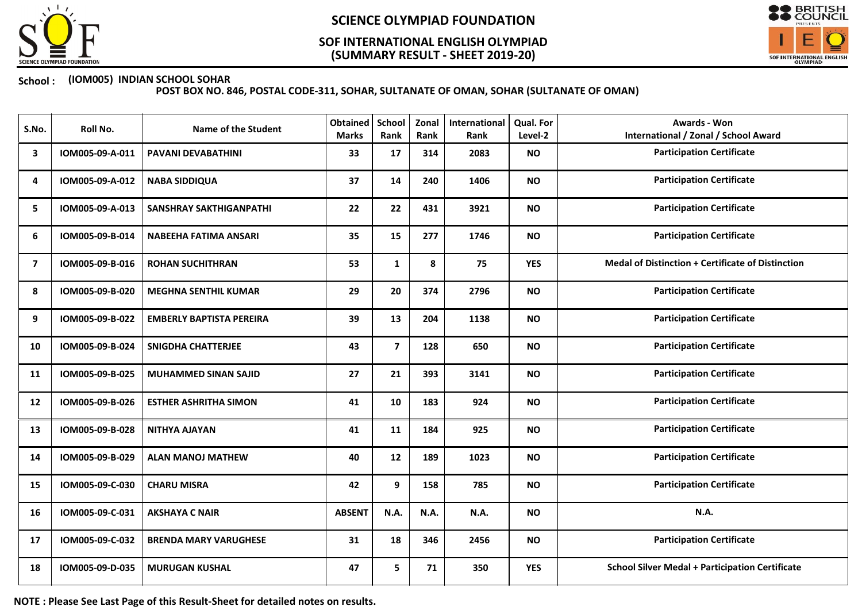

## (SUMMARY RESULT - SHEET 2019-20) SOF INTERNATIONAL ENGLISH OLYMPIAD



### School : (IOM005) INDIAN SCHOOL SOHAR

POST BOX NO. 846, POSTAL CODE-311, SOHAR, SULTANATE OF OMAN, SOHAR (SULTANATE OF OMAN)

| S.No. | Roll No.        | <b>Name of the Student</b>      | Obtained<br><b>Marks</b> | School<br>Rank          | Zonal<br>Rank | International<br>Rank | Qual. For<br>Level-2 | <b>Awards - Won</b><br><b>International / Zonal / School Award</b> |
|-------|-----------------|---------------------------------|--------------------------|-------------------------|---------------|-----------------------|----------------------|--------------------------------------------------------------------|
| 3     | IOM005-09-A-011 | <b>PAVANI DEVABATHINI</b>       | 33                       | 17                      | 314           | 2083                  | <b>NO</b>            | <b>Participation Certificate</b>                                   |
| 4     | IOM005-09-A-012 | <b>NABA SIDDIQUA</b>            | 37                       | 14                      | 240           | 1406                  | <b>NO</b>            | <b>Participation Certificate</b>                                   |
| 5     | IOM005-09-A-013 | <b>SANSHRAY SAKTHIGANPATHI</b>  | 22                       | 22                      | 431           | 3921                  | <b>NO</b>            | <b>Participation Certificate</b>                                   |
| 6     | IOM005-09-B-014 | <b>NABEEHA FATIMA ANSARI</b>    | 35                       | 15                      | 277           | 1746                  | <b>NO</b>            | <b>Participation Certificate</b>                                   |
| 7     | IOM005-09-B-016 | <b>ROHAN SUCHITHRAN</b>         | 53                       | $\mathbf{1}$            | 8             | 75                    | <b>YES</b>           | <b>Medal of Distinction + Certificate of Distinction</b>           |
| 8     | IOM005-09-B-020 | <b>MEGHNA SENTHIL KUMAR</b>     | 29                       | 20                      | 374           | 2796                  | <b>NO</b>            | <b>Participation Certificate</b>                                   |
| 9     | IOM005-09-B-022 | <b>EMBERLY BAPTISTA PEREIRA</b> | 39                       | 13                      | 204           | 1138                  | <b>NO</b>            | <b>Participation Certificate</b>                                   |
| 10    | IOM005-09-B-024 | SNIGDHA CHATTERJEE              | 43                       | $\overline{\mathbf{z}}$ | 128           | 650                   | <b>NO</b>            | <b>Participation Certificate</b>                                   |
| 11    | IOM005-09-B-025 | <b>MUHAMMED SINAN SAJID</b>     | 27                       | 21                      | 393           | 3141                  | <b>NO</b>            | <b>Participation Certificate</b>                                   |
| 12    | IOM005-09-B-026 | <b>ESTHER ASHRITHA SIMON</b>    | 41                       | 10                      | 183           | 924                   | <b>NO</b>            | <b>Participation Certificate</b>                                   |
| 13    | IOM005-09-B-028 | NITHYA AJAYAN                   | 41                       | 11                      | 184           | 925                   | <b>NO</b>            | <b>Participation Certificate</b>                                   |
| 14    | IOM005-09-B-029 | <b>ALAN MANOJ MATHEW</b>        | 40                       | 12                      | 189           | 1023                  | <b>NO</b>            | <b>Participation Certificate</b>                                   |
| 15    | IOM005-09-C-030 | <b>CHARU MISRA</b>              | 42                       | 9                       | 158           | 785                   | <b>NO</b>            | <b>Participation Certificate</b>                                   |
| 16    | IOM005-09-C-031 | <b>AKSHAYA C NAIR</b>           | <b>ABSENT</b>            | N.A.                    | N.A.          | N.A.                  | <b>NO</b>            | N.A.                                                               |
| 17    | IOM005-09-C-032 | <b>BRENDA MARY VARUGHESE</b>    | 31                       | 18                      | 346           | 2456                  | <b>NO</b>            | <b>Participation Certificate</b>                                   |
| 18    | IOM005-09-D-035 | <b>MURUGAN KUSHAL</b>           | 47                       | 5                       | 71            | 350                   | <b>YES</b>           | <b>School Silver Medal + Participation Certificate</b>             |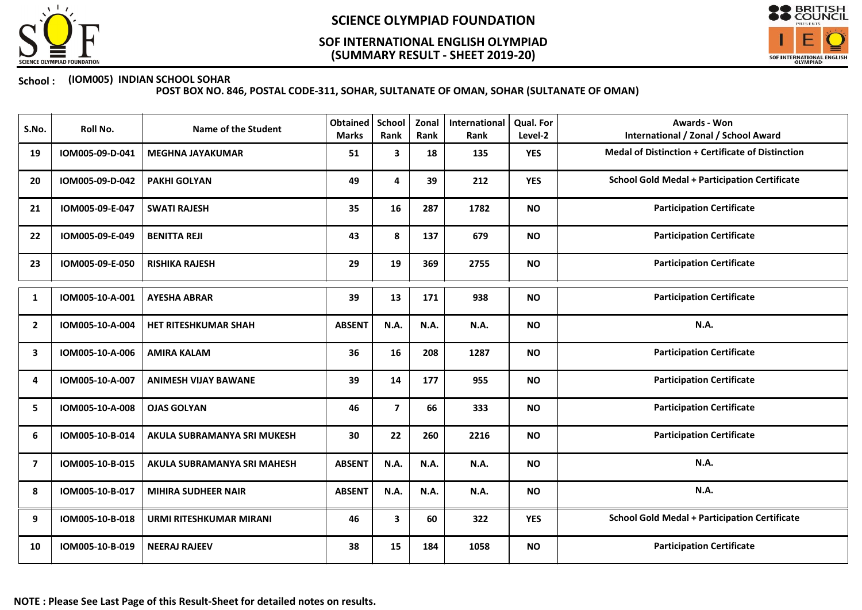

## (SUMMARY RESULT - SHEET 2019-20) SOF INTERNATIONAL ENGLISH OLYMPIAD



### School : (IOM005) INDIAN SCHOOL SOHAR

| S.No.                   | Roll No.        | <b>Name of the Student</b>     | <b>Obtained</b><br><b>Marks</b> | School<br>Rank | Zonal<br>Rank | International<br>Rank | Qual. For<br>Level-2 | Awards - Won<br><b>International / Zonal / School Award</b> |
|-------------------------|-----------------|--------------------------------|---------------------------------|----------------|---------------|-----------------------|----------------------|-------------------------------------------------------------|
| 19                      | IOM005-09-D-041 | <b>MEGHNA JAYAKUMAR</b>        | 51                              | 3              | 18            | 135                   | <b>YES</b>           | <b>Medal of Distinction + Certificate of Distinction</b>    |
| 20                      | IOM005-09-D-042 | <b>PAKHI GOLYAN</b>            | 49                              | 4              | 39            | 212                   | <b>YES</b>           | <b>School Gold Medal + Participation Certificate</b>        |
| 21                      | IOM005-09-E-047 | <b>SWATI RAJESH</b>            | 35                              | 16             | 287           | 1782                  | <b>NO</b>            | <b>Participation Certificate</b>                            |
| 22                      | IOM005-09-E-049 | <b>BENITTA REJI</b>            | 43                              | 8              | 137           | 679                   | <b>NO</b>            | <b>Participation Certificate</b>                            |
| 23                      | IOM005-09-E-050 | <b>RISHIKA RAJESH</b>          | 29                              | 19             | 369           | 2755                  | <b>NO</b>            | <b>Participation Certificate</b>                            |
| 1                       | IOM005-10-A-001 | <b>AYESHA ABRAR</b>            | 39                              | 13             | 171           | 938                   | <b>NO</b>            | <b>Participation Certificate</b>                            |
| $\overline{\mathbf{2}}$ | IOM005-10-A-004 | HET RITESHKUMAR SHAH           | <b>ABSENT</b>                   | <b>N.A.</b>    | N.A.          | N.A.                  | <b>NO</b>            | N.A.                                                        |
| 3                       | IOM005-10-A-006 | <b>AMIRA KALAM</b>             | 36                              | 16             | 208           | 1287                  | <b>NO</b>            | <b>Participation Certificate</b>                            |
| 4                       | IOM005-10-A-007 | <b>ANIMESH VIJAY BAWANE</b>    | 39                              | 14             | 177           | 955                   | <b>NO</b>            | <b>Participation Certificate</b>                            |
| 5                       | IOM005-10-A-008 | <b>OJAS GOLYAN</b>             | 46                              | $\overline{7}$ | 66            | 333                   | <b>NO</b>            | <b>Participation Certificate</b>                            |
| 6                       | IOM005-10-B-014 | AKULA SUBRAMANYA SRI MUKESH    | 30                              | 22             | 260           | 2216                  | <b>NO</b>            | <b>Participation Certificate</b>                            |
| $\overline{7}$          | IOM005-10-B-015 | AKULA SUBRAMANYA SRI MAHESH    | <b>ABSENT</b>                   | N.A.           | N.A.          | N.A.                  | <b>NO</b>            | N.A.                                                        |
| 8                       | IOM005-10-B-017 | <b>MIHIRA SUDHEER NAIR</b>     | <b>ABSENT</b>                   | N.A.           | <b>N.A.</b>   | N.A.                  | <b>NO</b>            | N.A.                                                        |
| 9                       | IOM005-10-B-018 | <b>URMI RITESHKUMAR MIRANI</b> | 46                              | 3              | 60            | 322                   | <b>YES</b>           | <b>School Gold Medal + Participation Certificate</b>        |
| 10                      | IOM005-10-B-019 | <b>NEERAJ RAJEEV</b>           | 38                              | 15             | 184           | 1058                  | <b>NO</b>            | <b>Participation Certificate</b>                            |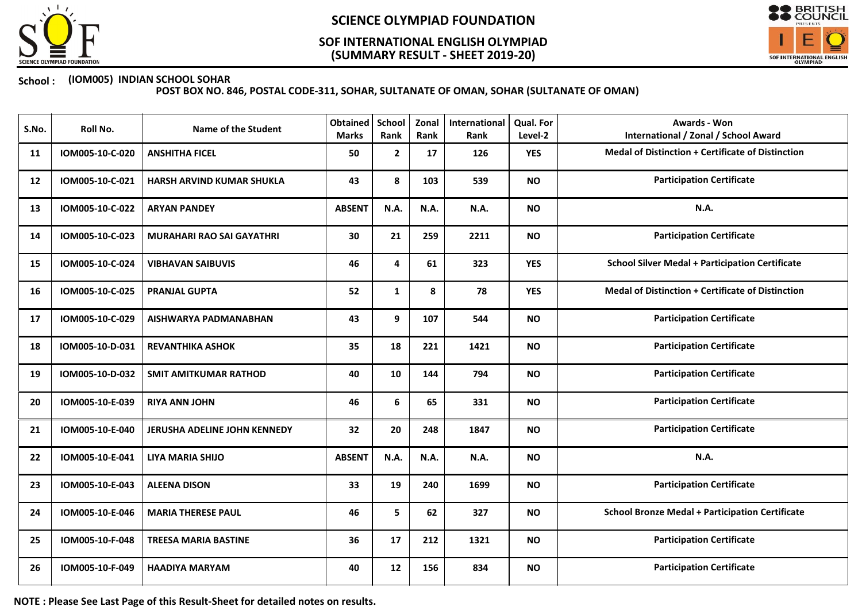

## (SUMMARY RESULT - SHEET 2019-20) SOF INTERNATIONAL ENGLISH OLYMPIAD



### School : (IOM005) INDIAN SCHOOL SOHAR

POST BOX NO. 846, POSTAL CODE-311, SOHAR, SULTANATE OF OMAN, SOHAR (SULTANATE OF OMAN)

| S.No. | Roll No.        | <b>Name of the Student</b>       | <b>Obtained</b><br><b>Marks</b> | <b>School</b><br>Rank | Zonal<br>Rank | International<br>Rank | Qual. For<br>Level-2 | Awards - Won<br><b>International / Zonal / School Award</b> |
|-------|-----------------|----------------------------------|---------------------------------|-----------------------|---------------|-----------------------|----------------------|-------------------------------------------------------------|
| 11    | IOM005-10-C-020 | <b>ANSHITHA FICEL</b>            | 50                              | $\mathbf{2}$          | 17            | 126                   | <b>YES</b>           | Medal of Distinction + Certificate of Distinction           |
| 12    | IOM005-10-C-021 | <b>HARSH ARVIND KUMAR SHUKLA</b> | 43                              | 8                     | 103           | 539                   | <b>NO</b>            | <b>Participation Certificate</b>                            |
| 13    | IOM005-10-C-022 | <b>ARYAN PANDEY</b>              | <b>ABSENT</b>                   | N.A.                  | N.A.          | N.A.                  | <b>NO</b>            | N.A.                                                        |
| 14    | IOM005-10-C-023 | <b>MURAHARI RAO SAI GAYATHRI</b> | 30                              | 21                    | 259           | 2211                  | <b>NO</b>            | <b>Participation Certificate</b>                            |
| 15    | IOM005-10-C-024 | <b>VIBHAVAN SAIBUVIS</b>         | 46                              | 4                     | 61            | 323                   | <b>YES</b>           | <b>School Silver Medal + Participation Certificate</b>      |
| 16    | IOM005-10-C-025 | <b>PRANJAL GUPTA</b>             | 52                              | 1                     | 8             | 78                    | <b>YES</b>           | <b>Medal of Distinction + Certificate of Distinction</b>    |
| 17    | IOM005-10-C-029 | AISHWARYA PADMANABHAN            | 43                              | 9                     | 107           | 544                   | <b>NO</b>            | <b>Participation Certificate</b>                            |
| 18    | IOM005-10-D-031 | <b>REVANTHIKA ASHOK</b>          | 35                              | 18                    | 221           | 1421                  | <b>NO</b>            | <b>Participation Certificate</b>                            |
| 19    | IOM005-10-D-032 | <b>SMIT AMITKUMAR RATHOD</b>     | 40                              | 10                    | 144           | 794                   | <b>NO</b>            | <b>Participation Certificate</b>                            |
| 20    | IOM005-10-E-039 | <b>RIYA ANN JOHN</b>             | 46                              | 6                     | 65            | 331                   | <b>NO</b>            | <b>Participation Certificate</b>                            |
| 21    | IOM005-10-E-040 | JERUSHA ADELINE JOHN KENNEDY     | 32                              | 20                    | 248           | 1847                  | <b>NO</b>            | <b>Participation Certificate</b>                            |
| 22    | IOM005-10-E-041 | <b>LIYA MARIA SHIJO</b>          | <b>ABSENT</b>                   | N.A.                  | N.A.          | <b>N.A.</b>           | <b>NO</b>            | N.A.                                                        |
| 23    | IOM005-10-E-043 | <b>ALEENA DISON</b>              | 33                              | 19                    | 240           | 1699                  | <b>NO</b>            | <b>Participation Certificate</b>                            |
| 24    | IOM005-10-E-046 | <b>MARIA THERESE PAUL</b>        | 46                              | 5                     | 62            | 327                   | <b>NO</b>            | <b>School Bronze Medal + Participation Certificate</b>      |
| 25    | IOM005-10-F-048 | <b>TREESA MARIA BASTINE</b>      | 36                              | 17                    | 212           | 1321                  | <b>NO</b>            | <b>Participation Certificate</b>                            |
| 26    | IOM005-10-F-049 | <b>HAADIYA MARYAM</b>            | 40                              | 12                    | 156           | 834                   | <b>NO</b>            | <b>Participation Certificate</b>                            |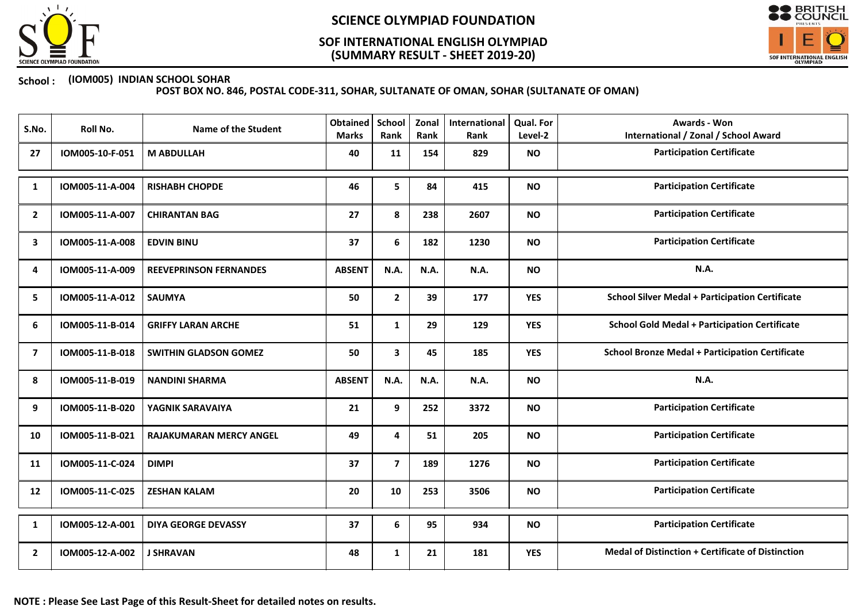

## (SUMMARY RESULT - SHEET 2019-20) SOF INTERNATIONAL ENGLISH OLYMPIAD



### School : (IOM005) INDIAN SCHOOL SOHAR

| S.No.          | Roll No.        | <b>Name of the Student</b>     | <b>Obtained</b><br><b>Marks</b> | School<br>Rank          | Zonal<br>Rank | International<br>Rank | Qual. For<br>Level-2 | <b>Awards - Won</b><br><b>International / Zonal / School Award</b> |
|----------------|-----------------|--------------------------------|---------------------------------|-------------------------|---------------|-----------------------|----------------------|--------------------------------------------------------------------|
| 27             | IOM005-10-F-051 | <b>M ABDULLAH</b>              | 40                              | 11                      | 154           | 829                   | <b>NO</b>            | <b>Participation Certificate</b>                                   |
| 1              | IOM005-11-A-004 | <b>RISHABH CHOPDE</b>          | 46                              | 5                       | 84            | 415                   | <b>NO</b>            | <b>Participation Certificate</b>                                   |
| $\overline{2}$ | IOM005-11-A-007 | <b>CHIRANTAN BAG</b>           | 27                              | 8                       | 238           | 2607                  | <b>NO</b>            | <b>Participation Certificate</b>                                   |
| 3              | IOM005-11-A-008 | <b>EDVIN BINU</b>              | 37                              | 6                       | 182           | 1230                  | <b>NO</b>            | <b>Participation Certificate</b>                                   |
| 4              | IOM005-11-A-009 | <b>REEVEPRINSON FERNANDES</b>  | <b>ABSENT</b>                   | N.A.                    | N.A.          | N.A.                  | <b>NO</b>            | N.A.                                                               |
| 5              | IOM005-11-A-012 | <b>SAUMYA</b>                  | 50                              | $\mathbf{2}$            | 39            | 177                   | <b>YES</b>           | <b>School Silver Medal + Participation Certificate</b>             |
| 6              | IOM005-11-B-014 | <b>GRIFFY LARAN ARCHE</b>      | 51                              | $\mathbf{1}$            | 29            | 129                   | <b>YES</b>           | <b>School Gold Medal + Participation Certificate</b>               |
| 7              | IOM005-11-B-018 | <b>SWITHIN GLADSON GOMEZ</b>   | 50                              | 3                       | 45            | 185                   | <b>YES</b>           | <b>School Bronze Medal + Participation Certificate</b>             |
| 8              | IOM005-11-B-019 | <b>NANDINI SHARMA</b>          | <b>ABSENT</b>                   | N.A.                    | N.A.          | N.A.                  | <b>NO</b>            | N.A.                                                               |
| 9              | IOM005-11-B-020 | YAGNIK SARAVAIYA               | 21                              | 9                       | 252           | 3372                  | <b>NO</b>            | <b>Participation Certificate</b>                                   |
| 10             | IOM005-11-B-021 | <b>RAJAKUMARAN MERCY ANGEL</b> | 49                              | 4                       | 51            | 205                   | <b>NO</b>            | <b>Participation Certificate</b>                                   |
| 11             | IOM005-11-C-024 | <b>DIMPI</b>                   | 37                              | $\overline{\mathbf{z}}$ | 189           | 1276                  | <b>NO</b>            | <b>Participation Certificate</b>                                   |
| 12             | IOM005-11-C-025 | <b>ZESHAN KALAM</b>            | 20                              | 10                      | 253           | 3506                  | <b>NO</b>            | <b>Participation Certificate</b>                                   |
| 1              | IOM005-12-A-001 | <b>DIYA GEORGE DEVASSY</b>     | 37                              | 6                       | 95            | 934                   | <b>NO</b>            | <b>Participation Certificate</b>                                   |
| $\overline{2}$ | IOM005-12-A-002 | <b>J SHRAVAN</b>               | 48                              | 1                       | 21            | 181                   | <b>YES</b>           | <b>Medal of Distinction + Certificate of Distinction</b>           |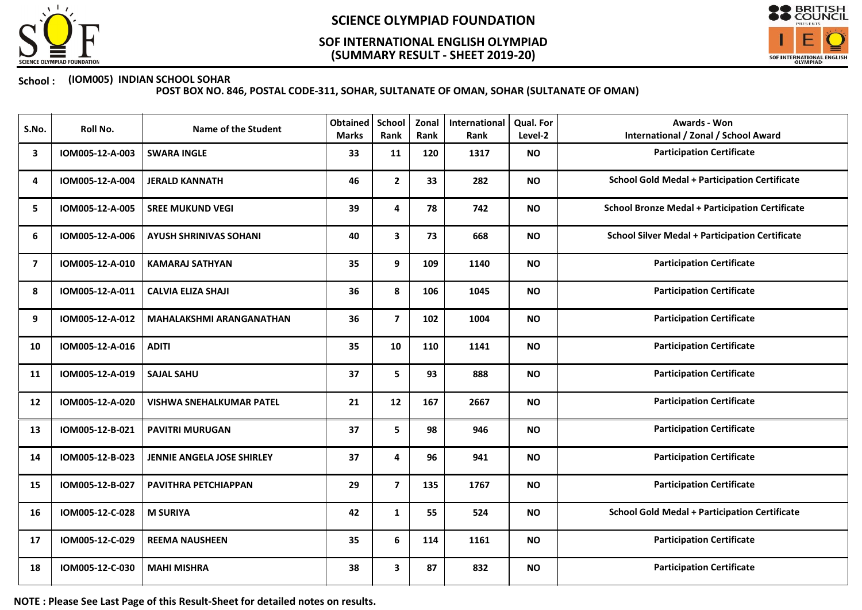

## (SUMMARY RESULT - SHEET 2019-20) SOF INTERNATIONAL ENGLISH OLYMPIAD



### School : (IOM005) INDIAN SCHOOL SOHAR

POST BOX NO. 846, POSTAL CODE-311, SOHAR, SULTANATE OF OMAN, SOHAR (SULTANATE OF OMAN)

| S.No.          | Roll No.        | <b>Name of the Student</b>        | <b>Obtained</b><br><b>Marks</b> | School<br>Rank          | Zonal<br>Rank | <b>International</b><br>Rank | Qual. For<br>Level-2 | <b>Awards - Won</b><br><b>International / Zonal / School Award</b> |
|----------------|-----------------|-----------------------------------|---------------------------------|-------------------------|---------------|------------------------------|----------------------|--------------------------------------------------------------------|
| 3              | IOM005-12-A-003 | <b>SWARA INGLE</b>                | 33                              | 11                      | 120           | 1317                         | <b>NO</b>            | <b>Participation Certificate</b>                                   |
| 4              | IOM005-12-A-004 | <b>JERALD KANNATH</b>             | 46                              | $\overline{2}$          | 33            | 282                          | <b>NO</b>            | <b>School Gold Medal + Participation Certificate</b>               |
| 5              | IOM005-12-A-005 | <b>SREE MUKUND VEGI</b>           | 39                              | 4                       | 78            | 742                          | <b>NO</b>            | <b>School Bronze Medal + Participation Certificate</b>             |
| 6              | IOM005-12-A-006 | <b>AYUSH SHRINIVAS SOHANI</b>     | 40                              | 3                       | 73            | 668                          | <b>NO</b>            | <b>School Silver Medal + Participation Certificate</b>             |
| $\overline{ }$ | IOM005-12-A-010 | <b>KAMARAJ SATHYAN</b>            | 35                              | 9                       | 109           | 1140                         | <b>NO</b>            | <b>Participation Certificate</b>                                   |
| 8              | IOM005-12-A-011 | <b>CALVIA ELIZA SHAJI</b>         | 36                              | 8                       | 106           | 1045                         | <b>NO</b>            | <b>Participation Certificate</b>                                   |
| 9              | IOM005-12-A-012 | <b>MAHALAKSHMI ARANGANATHAN</b>   | 36                              | $\overline{\mathbf{z}}$ | 102           | 1004                         | <b>NO</b>            | <b>Participation Certificate</b>                                   |
| 10             | IOM005-12-A-016 | <b>ADITI</b>                      | 35                              | 10                      | 110           | 1141                         | <b>NO</b>            | <b>Participation Certificate</b>                                   |
| 11             | IOM005-12-A-019 | <b>SAJAL SAHU</b>                 | 37                              | 5                       | 93            | 888                          | <b>NO</b>            | <b>Participation Certificate</b>                                   |
| 12             | IOM005-12-A-020 | <b>VISHWA SNEHALKUMAR PATEL</b>   | 21                              | 12                      | 167           | 2667                         | <b>NO</b>            | <b>Participation Certificate</b>                                   |
| 13             | IOM005-12-B-021 | <b>PAVITRI MURUGAN</b>            | 37                              | 5                       | 98            | 946                          | <b>NO</b>            | <b>Participation Certificate</b>                                   |
| 14             | IOM005-12-B-023 | <b>JENNIE ANGELA JOSE SHIRLEY</b> | 37                              | 4                       | 96            | 941                          | <b>NO</b>            | <b>Participation Certificate</b>                                   |
| 15             | IOM005-12-B-027 | PAVITHRA PETCHIAPPAN              | 29                              | $\overline{\mathbf{z}}$ | 135           | 1767                         | <b>NO</b>            | <b>Participation Certificate</b>                                   |
| 16             | IOM005-12-C-028 | <b>M SURIYA</b>                   | 42                              | $\mathbf{1}$            | 55            | 524                          | <b>NO</b>            | <b>School Gold Medal + Participation Certificate</b>               |
| 17             | IOM005-12-C-029 | <b>REEMA NAUSHEEN</b>             | 35                              | 6                       | 114           | 1161                         | <b>NO</b>            | <b>Participation Certificate</b>                                   |
| 18             | IOM005-12-C-030 | <b>MAHI MISHRA</b>                | 38                              | 3                       | 87            | 832                          | <b>NO</b>            | <b>Participation Certificate</b>                                   |